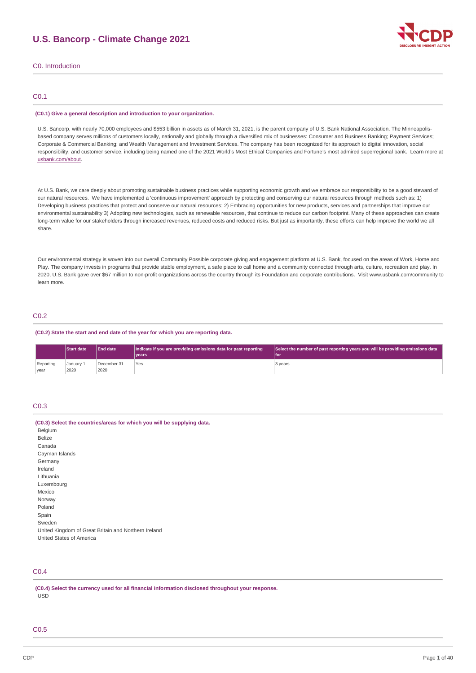# **U.S. Bancorp - Climate Change 2021**



C0. Introduction

### C0.1

#### **(C0.1) Give a general description and introduction to your organization.**

U.S. Bancorp, with nearly 70,000 employees and \$553 billion in assets as of March 31, 2021, is the parent company of U.S. Bank National Association. The Minneapolisbased company serves millions of customers locally, nationally and globally through a diversified mix of businesses: Consumer and Business Banking; Payment Services; Corporate & Commercial Banking; and Wealth Management and Investment Services. The company has been recognized for its approach to digital innovation, social responsibility, and customer service, including being named one of the 2021 World's Most Ethical Companies and Fortune's most admired superregional bank. Learn more at [usbank.com/about](http://usbank.com/about).

At U.S. Bank, we care deeply about promoting sustainable business practices while supporting economic growth and we embrace our responsibility to be a good steward of our natural resources. We have implemented a 'continuous improvement' approach by protecting and conserving our natural resources through methods such as: 1) Developing business practices that protect and conserve our natural resources; 2) Embracing opportunities for new products, services and partnerships that improve our environmental sustainability 3) Adopting new technologies, such as renewable resources, that continue to reduce our carbon footprint. Many of these approaches can create long-term value for our stakeholders through increased revenues, reduced costs and reduced risks. But just as importantly, these efforts can help improve the world we all share.

Our environmental strategy is woven into our overall Community Possible corporate giving and engagement platform at U.S. Bank, focused on the areas of Work, Home and Play. The company invests in programs that provide stable employment, a safe place to call home and a community connected through arts, culture, recreation and play. In 2020, U.S. Bank gave over \$67 million to non-profit organizations across the country through its Foundation and corporate contributions. Visit www.usbank.com/community to learn more.

### C0.2

#### **(C0.2) State the start and end date of the year for which you are reporting data.**

|           | <b>Start date</b> | End date    | Indicate if you are providing emissions data for past reporting<br>Select the number of past reporting years you will be providing emissions data |         |  |
|-----------|-------------------|-------------|---------------------------------------------------------------------------------------------------------------------------------------------------|---------|--|
|           |                   |             | vears <sup>1</sup>                                                                                                                                | l for   |  |
| Reporting | January 1         | December 31 | Yes                                                                                                                                               | 3 years |  |
| vear      | 2020              | 2020        |                                                                                                                                                   |         |  |

## C0.3

| (C0.3) Select the countries/areas for which you will be supplying data. |
|-------------------------------------------------------------------------|
| Belgium                                                                 |
| <b>Belize</b>                                                           |
| Canada                                                                  |
| Cayman Islands                                                          |
| Germany                                                                 |
| Ireland                                                                 |
| Lithuania                                                               |
| Luxembourg                                                              |
| Mexico                                                                  |
| Norway                                                                  |
| Poland                                                                  |
| Spain                                                                   |
| Sweden                                                                  |
| United Kingdom of Great Britain and Northern Ireland                    |
| United States of America                                                |

## C0.4

**(C0.4) Select the currency used for all financial information disclosed throughout your response.** USD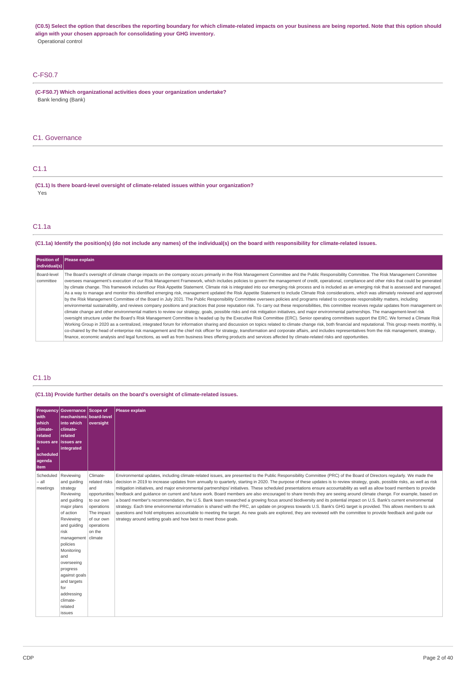(C0.5) Select the option that describes the reporting boundary for which climate-related impacts on your business are being reported. Note that this option should **align with your chosen approach for consolidating your GHG inventory.** Operational control

## C-FS0.7

**(C-FS0.7) Which organizational activities does your organization undertake?** Bank lending (Bank)

### C1. Governance

### C1.1

**(C1.1) Is there board-level oversight of climate-related issues within your organization?** Yes

### C1.1a

(C1.1a) Identify the position(s) (do not include any names) of the individual(s) on the board with responsibility for climate-related issues.

| Position of<br> individual(s) | Please explain                                                                                                                                                                                                                                                                                                                                                                                                                                                                                                                                                                                                                                                                                                                                                                                                                                                                                                                                                                                                                                                                                                                                                                                                                                                                                                                                                                                                                                                                                                                                                                                                                                                                                                                                                                                                                                                                                                                                                                                                                                                                                                                                                                             |
|-------------------------------|--------------------------------------------------------------------------------------------------------------------------------------------------------------------------------------------------------------------------------------------------------------------------------------------------------------------------------------------------------------------------------------------------------------------------------------------------------------------------------------------------------------------------------------------------------------------------------------------------------------------------------------------------------------------------------------------------------------------------------------------------------------------------------------------------------------------------------------------------------------------------------------------------------------------------------------------------------------------------------------------------------------------------------------------------------------------------------------------------------------------------------------------------------------------------------------------------------------------------------------------------------------------------------------------------------------------------------------------------------------------------------------------------------------------------------------------------------------------------------------------------------------------------------------------------------------------------------------------------------------------------------------------------------------------------------------------------------------------------------------------------------------------------------------------------------------------------------------------------------------------------------------------------------------------------------------------------------------------------------------------------------------------------------------------------------------------------------------------------------------------------------------------------------------------------------------------|
| Board-level<br>committee      | The Board's oversight of climate change impacts on the company occurs primarily in the Risk Management Committee and the Public Responsibility Committee. The Risk Management Committee<br>oversees management's execution of our Risk Management Framework, which includes policies to govern the management of credit, operational, compliance and other risks that could be generated<br>by climate change. This framework includes our Risk Appetite Statement. Climate risk is integrated into our emerging risk process and is included as an emerging risk that is assessed and managed.<br>As a way to manage and monitor this identified emerging risk, management updated the Risk Appetite Statement to include Climate Risk considerations, which was ultimately reviewed and approved<br>by the Risk Management Committee of the Board in July 2021. The Public Responsibility Committee oversees policies and programs related to corporate responsibility matters, including<br>environmental sustainability, and reviews company positions and practices that pose reputation risk. To carry out these responsibilities, this committee receives reqular updates from management on<br>climate change and other environmental matters to review our strategy, goals, possible risks and risk mitigation initiatives, and major environmental partnerships. The management-level risk<br>oversight structure under the Board's Risk Management Committee is headed up by the Executive Risk Committee (ERC). Senior operating committees support the ERC. We formed a Climate Risk<br>Working Group in 2020 as a centralized, integrated forum for information sharing and discussion on topics related to climate change risk, both financial and reputational. This group meets monthly, is<br>co-chaired by the head of enterprise risk management and the chief risk officer for strategy, transformation and corporate affairs, and includes representatives from the risk management, strategy,<br>finance, economic analysis and legal functions, as well as from business lines offering products and services affected by climate-related risks and opportunities. |

### C1.1b

**(C1.1b) Provide further details on the board's oversight of climate-related issues.**

| <b>Frequency</b><br>with<br>which<br>climate-<br>related<br><b>issues</b> are<br>l a<br>scheduled<br>agenda<br>item | Governance Scope of<br>mechanisms board-level<br>into which<br>climate-<br>related<br>lissues are<br>integrated                                                                                                                                                                                                  | oversight                                                                                                        | <b>Please explain</b>                                                                                                                                                                                                                                                                                                                                                                                                                                                                                                                                                                                                                                                                                                                                                                                                                                                                                                                                                                                                                                                                                                                                                                                                                                                                                 |
|---------------------------------------------------------------------------------------------------------------------|------------------------------------------------------------------------------------------------------------------------------------------------------------------------------------------------------------------------------------------------------------------------------------------------------------------|------------------------------------------------------------------------------------------------------------------|-------------------------------------------------------------------------------------------------------------------------------------------------------------------------------------------------------------------------------------------------------------------------------------------------------------------------------------------------------------------------------------------------------------------------------------------------------------------------------------------------------------------------------------------------------------------------------------------------------------------------------------------------------------------------------------------------------------------------------------------------------------------------------------------------------------------------------------------------------------------------------------------------------------------------------------------------------------------------------------------------------------------------------------------------------------------------------------------------------------------------------------------------------------------------------------------------------------------------------------------------------------------------------------------------------|
| Scheduled<br>$-$ all<br>meetings                                                                                    | Reviewing<br>and quiding<br>strategy<br>Reviewing<br>and quiding<br>major plans<br>of action<br>Reviewing<br>and quiding<br>risk<br>management   climate<br>policies<br>Monitoring<br>and<br>overseeing<br>progress<br>against goals<br>and targets<br>for<br>addressing<br>climate-<br>related<br><b>issues</b> | Climate-<br>related risks<br>and<br>to our own<br>operations<br>The impact<br>of our own<br>operations<br>on the | Environmental updates, including climate-related issues, are presented to the Public Responsibility Committee (PRC) of the Board of Directors regularly. We made the<br>decision in 2019 to increase updates from annually to quarterly, starting in 2020. The purpose of these updates is to review strategy, goals, possible risks, as well as risk<br>mitigation initiatives, and major environmental partnerships/ initiatives. These scheduled presentations ensure accountability as well as allow board members to provide<br>opportunities feedback and quidance on current and future work. Board members are also encouraged to share trends they are seeing around climate change. For example, based on<br>a board member's recommendation, the U.S. Bank team researched a growing focus around biodiversity and its potential impact on U.S. Bank's current environmental<br>strategy. Each time environmental information is shared with the PRC, an update on progress towards U.S. Bank's GHG target is provided. This allows members to ask<br>questions and hold employees accountable to meeting the target. As new goals are explored, they are reviewed with the committee to provide feedback and quide our<br>strategy around setting goals and how best to meet those goals. |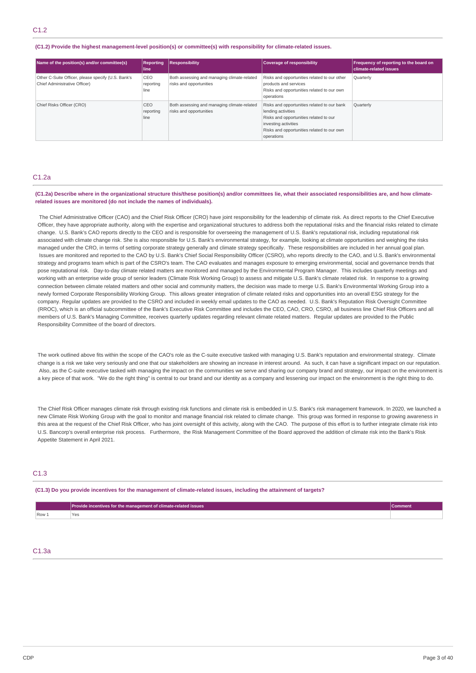#### **(C1.2) Provide the highest management-level position(s) or committee(s) with responsibility for climate-related issues.**

| Name of the position(s) and/or committee(s)                                         | <b>Reporting</b><br>l line | <b>Responsibility</b>                                                  | Coverage of responsibility                                                                                                                                                                      | <b>Frequency of reporting to the board on</b><br>climate-related issues |
|-------------------------------------------------------------------------------------|----------------------------|------------------------------------------------------------------------|-------------------------------------------------------------------------------------------------------------------------------------------------------------------------------------------------|-------------------------------------------------------------------------|
| Other C-Suite Officer, please specify (U.S. Bank's<br>Chief Administrative Officer) | CEO<br>reporting<br>line   | Both assessing and managing climate-related<br>risks and opportunities | Risks and opportunities related to our other<br>products and services<br>Risks and opportunities related to our own<br>operations                                                               | Quarterly                                                               |
| Chief Risks Officer (CRO)                                                           | CEO<br>reporting<br>line   | Both assessing and managing climate-related<br>risks and opportunities | Risks and opportunities related to our bank<br>lending activities<br>Risks and opportunities related to our<br>investing activities<br>Risks and opportunities related to our own<br>operations | Quarterly                                                               |

#### C1.2a

(C1.2a) Describe where in the organizational structure this/these position(s) and/or committees lie, what their associated responsibilities are, and how climate**related issues are monitored (do not include the names of individuals).**

The Chief Administrative Officer (CAO) and the Chief Risk Officer (CRO) have joint responsibility for the leadership of climate risk. As direct reports to the Chief Executive Officer, they have appropriate authority, along with the expertise and organizational structures to address both the reputational risks and the financial risks related to climate change. U.S. Bank's CAO reports directly to the CEO and is responsible for overseeing the management of U.S. Bank's reputational risk, including reputational risk associated with climate change risk. She is also responsible for U.S. Bank's environmental strategy, for example, looking at climate opportunities and weighing the risks managed under the CRO, in terms of setting corporate strategy generally and climate strategy specifically. These responsibilities are included in her annual goal plan. Issues are monitored and reported to the CAO by U.S. Bank's Chief Social Responsibility Officer (CSRO), who reports directly to the CAO, and U.S. Bank's environmental strategy and programs team which is part of the CSRO's team. The CAO evaluates and manages exposure to emerging environmental, social and governance trends that pose reputational risk. Day-to-day climate related matters are monitored and managed by the Environmental Program Manager. This includes quarterly meetings and working with an enterprise wide group of senior leaders (Climate Risk Working Group) to assess and mitigate U.S. Bank's climate related risk. In response to a growing connection between climate related matters and other social and community matters, the decision was made to merge U.S. Bank's Environmental Working Group into a newly formed Corporate Responsibility Working Group. This allows greater integration of climate related risks and opportunities into an overall ESG strategy for the company. Regular updates are provided to the CSRO and included in weekly email updates to the CAO as needed. U.S. Bank's Reputation Risk Oversight Committee (RROC), which is an official subcommittee of the Bank's Executive Risk Committee and includes the CEO, CAO, CRO, CSRO, all business line Chief Risk Officers and all members of U.S. Bank's Managing Committee, receives quarterly updates regarding relevant climate related matters. Regular updates are provided to the Public Responsibility Committee of the board of directors.

The work outlined above fits within the scope of the CAO's role as the C-suite executive tasked with managing U.S. Bank's reputation and environmental strategy. Climate change is a risk we take very seriously and one that our stakeholders are showing an increase in interest around. As such, it can have a significant impact on our reputation. Also, as the C-suite executive tasked with managing the impact on the communities we serve and sharing our company brand and strategy, our impact on the environment is a key piece of that work. "We do the right thing" is central to our brand and our identity as a company and lessening our impact on the environment is the right thing to do.

The Chief Risk Officer manages climate risk through existing risk functions and climate risk is embedded in U.S. Bank's risk management framework. In 2020, we launched a new Climate Risk Working Group with the goal to monitor and manage financial risk related to climate change. This group was formed in response to growing awareness in this area at the request of the Chief Risk Officer, who has joint oversight of this activity, along with the CAO. The purpose of this effort is to further integrate climate risk into U.S. Bancorp's overall enterprise risk process. Furthermore, the Risk Management Committee of the Board approved the addition of climate risk into the Bank's Risk Appetite Statement in April 2021.

### C1.3

(C1.3) Do you provide incentives for the management of climate-related issues, including the attainment of targets?

|                         | Provide incentives for the management of climate-related issues | Comment |
|-------------------------|-----------------------------------------------------------------|---------|
| $\sqrt{$ Row $\sqrt{ }$ | <b>Yes</b>                                                      |         |

### C1.3a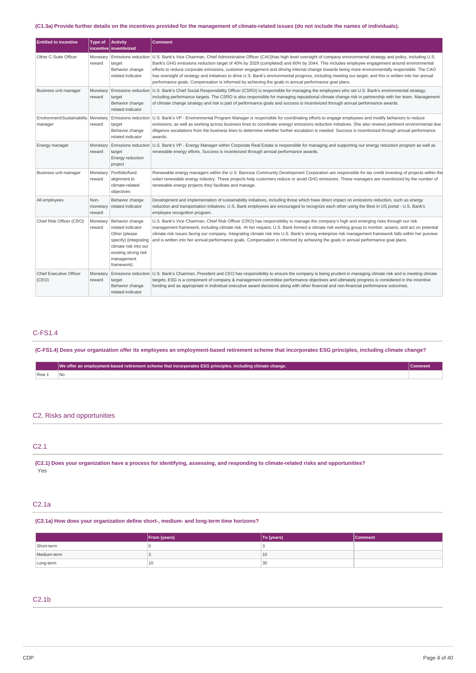### (C1.3a) Provide further details on the incentives provided for the management of climate-related issues (do not include the names of individuals).

| <b>Entitled to incentive</b>                     | Type of                    | <b>Activity</b><br>incentive inventivized                                                                                                                   | <b>Comment</b>                                                                                                                                                                                                                                                                                                                                                                                                                                                                                                                                                                                                                                                                                                                             |  |
|--------------------------------------------------|----------------------------|-------------------------------------------------------------------------------------------------------------------------------------------------------------|--------------------------------------------------------------------------------------------------------------------------------------------------------------------------------------------------------------------------------------------------------------------------------------------------------------------------------------------------------------------------------------------------------------------------------------------------------------------------------------------------------------------------------------------------------------------------------------------------------------------------------------------------------------------------------------------------------------------------------------------|--|
| Other C-Suite Officer                            | Monetary<br>reward         | target<br>Behavior change<br>related indicator                                                                                                              | Emissions reduction   U.S. Bank's Vice Chairman, Chief Administrative Officer (CAO)has high level oversight of company environmental strategy and policy, including U.S.<br>Bank's GHG emissions reduction target of 40% by 2029 (completed) and 60% by 2044. This includes employee engagement around environmental<br>efforts to reduce corporate emissions, customer engagement and driving internal change towards being more environmentally responsible. The CAO<br>has oversight of strategy and initiatives to drive U.S. Bank's environmental progress, including meeting our target, and this is written into her annual<br>performance goals. Compensation is informed by achieving the goals in annual performance goal plans. |  |
| Business unit manager                            | Monetary<br>reward         | target<br>Behavior change<br>related indicator                                                                                                              | Emissions reduction   U.S. Bank's Chief Social Responsibility Officer (CSRO) is responsible for managing the employees who set U.S. Bank's environmental strategy,<br>including performance targets. The CSRO is also responsible for managing reputational climate change risk in partnership with her team. Management<br>of climate change strategy and risk is part of performance goals and success is incentivized through annual performance awards.                                                                                                                                                                                                                                                                                |  |
| Environment/Sustainability   Monetary<br>manager | reward                     | target<br>Behavior change<br>related indicator                                                                                                              | Emissions reduction   U.S. Bank's VP - Environmental Program Manager is responsible for coordinating efforts to engage employees and modify behaviors to reduce<br>emissions, as well as working across business lines to coordinate energy/ emissions reduction initiatives. She also reviews pertinent environmental due<br>diligence escalations from the business lines to determine whether further escalation is needed. Success is incentivized through annual performance<br>awards.                                                                                                                                                                                                                                               |  |
| Energy manager                                   | Monetary<br>reward         | target<br>Energy reduction<br>project                                                                                                                       | Emissions reduction U.S. Bank's VP - Energy Manager within Corporate Real Estate is responsible for managing and supporting our energy reduction program as well as<br>renewable energy efforts. Success is incentivized through annual performance awards.                                                                                                                                                                                                                                                                                                                                                                                                                                                                                |  |
| Business unit manager                            | Monetary<br>reward         | Portfolio/fund<br>alignment to<br>climate-related<br>objectives                                                                                             | Renewable energy managers within the U.S. Bancorp Community Development Corporation are responsible for tax credit investing of projects within the<br>solar/ renewable energy industry. These projects help customers reduce or avoid GHG emissions. These managers are incentivized by the number of<br>renewable energy projects they facilitate and manage.                                                                                                                                                                                                                                                                                                                                                                            |  |
| All employees                                    | Non-<br>monetary<br>reward | Behavior change<br>related indicator                                                                                                                        | Development and implementation of sustainability initiatives, including those which have direct impact on emissions reduction, such as energy<br>reduction and transportation initiatives. U.S. Bank employees are encouraged to recognize each other using the Best in US portal - U.S. Bank's<br>employee recognition program.                                                                                                                                                                                                                                                                                                                                                                                                           |  |
| Chief Risk Officer (CRO)                         | Monetary<br>reward         | Behavior change<br>related indicator<br>Other (please<br>specify) (integrating<br>climate risk into our<br>existing strong risk<br>management<br>framework) | U.S. Bank's Vice Chairman, Chief Risk Officer (CRO) has responsibility to manage the company's high and emerging risks through our risk<br>management framework, including climate risk. At her request, U.S. Bank formed a climate risk working group to monitor, assess, and act on potential<br>climate risk issues facing our company. Integrating climate risk into U.S. Bank's strong enterprise risk management framework falls within her purview<br>and is written into her annual performance goals. Compensation is informed by achieving the goals in annual performance goal plans.                                                                                                                                           |  |
| Chief Executive Officer<br>(CEO)                 | Monetary<br>reward         | target<br>Behavior change<br>related indicator                                                                                                              | Emissions reduction U.S. Bank's Chairman, President and CEO has responsibility to ensure the company is being prudent in managing climate risk and is meeting climate<br>targets. ESG is a component of company & management committee performance objectives and ultimately progress is considered in the incentive<br>funding and as appropriate in individual executive award decisions along with other financial and non-financial performance outcomes.                                                                                                                                                                                                                                                                              |  |

### C-FS1.4

(C-FS1.4) Does your organization offer its employees an employment-based retirement scheme that incorporates ESG principles, including climate change?

|                         | We offer an employment-based retirement scheme that incorporates ESG principles, including climate change. | ommen: |
|-------------------------|------------------------------------------------------------------------------------------------------------|--------|
| $\sqrt{$ Row $\sqrt{ }$ |                                                                                                            |        |
|                         |                                                                                                            |        |

## C2. Risks and opportunities

| C <sub>2.1</sub> |  |  |  |  |
|------------------|--|--|--|--|
|                  |  |  |  |  |

(C2.1) Does your organization have a process for identifying, assessing, and responding to climate-related risks and opportunities? Yes

## C2.1a

**(C2.1a) How does your organization define short-, medium- and long-term time horizons?**

|             | From (years) | To (years) | <b>Comment</b> |
|-------------|--------------|------------|----------------|
| Short-term  |              |            |                |
| Medium-term |              | 10         |                |
| Long-term   | 10           | 30         |                |

## C2.1b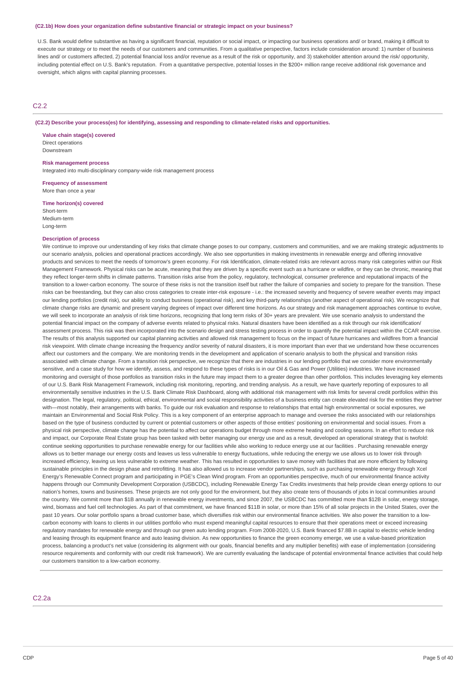#### **(C2.1b) How does your organization define substantive financial or strategic impact on your business?**

U.S. Bank would define substantive as having a significant financial, reputation or social impact, or impacting our business operations and/ or brand, making it difficult to execute our strategy or to meet the needs of our customers and communities. From a qualitative perspective, factors include consideration around: 1) number of business lines and/ or customers affected, 2) potential financial loss and/or revenue as a result of the risk or opportunity, and 3) stakeholder attention around the risk/ opportunity. including potential effect on U.S. Bank's reputation. From a quantitative perspective, potential losses in the \$200+ million range receive additional risk governance and oversight, which aligns with capital planning processes.

### C2.2

#### **(C2.2) Describe your process(es) for identifying, assessing and responding to climate-related risks and opportunities.**

**Value chain stage(s) covered** Direct operations Downstream

#### **Risk management process**

Integrated into multi-disciplinary company-wide risk management process

**Frequency of assessment** More than once a year

#### **Time horizon(s) covered**

Short-term Medium-term Long-term

#### **Description of process**

We continue to improve our understanding of key risks that climate change poses to our company, customers and communities, and we are making strategic adjustments to our scenario analysis, policies and operational practices accordingly. We also see opportunities in making investments in renewable energy and offering innovative products and services to meet the needs of tomorrow's green economy. For risk Identification, climate-related risks are relevant across many risk categories within our Risk Management Framework. Physical risks can be acute, meaning that they are driven by a specific event such as a hurricane or wildfire, or they can be chronic, meaning that they reflect longer-term shifts in climate patterns. Transition risks arise from the policy, regulatory, technological, consumer preference and reputational impacts of the transition to a lower-carbon economy. The source of these risks is not the transition itself but rather the failure of companies and society to prepare for the transition. These risks can be freestanding, but they can also cross categories to create inter-risk exposure - i.e.: the increased severity and frequency of severe weather events may impact our lending portfolios (credit risk), our ability to conduct business (operational risk), and key third-party relationships (another aspect of operational risk). We recognize that climate change risks are dynamic and present varying degrees of impact over different time horizons. As our strategy and risk management approaches continue to evolve, we will seek to incorporate an analysis of risk time horizons, recognizing that long term risks of 30+ years are prevalent. We use scenario analysis to understand the potential financial impact on the company of adverse events related to physical risks. Natural disasters have been identified as a risk through our risk identification/ assessment process. This risk was then incorporated into the scenario design and stress testing process in order to quantify the potential impact within the CCAR exercise. The results of this analysis supported our capital planning activities and allowed risk management to focus on the impact of future hurricanes and wildfires from a financial risk viewpoint. With climate change increasing the frequency and/or severity of natural disasters, it is more important than ever that we understand how these occurrences affect our customers and the company. We are monitoring trends in the development and application of scenario analysis to both the physical and transition risks associated with climate change. From a transition risk perspective, we recognize that there are industries in our lending portfolio that we consider more environmentally sensitive, and a case study for how we identify, assess, and respond to these types of risks is in our Oil & Gas and Power (Utilities) industries. We have increased monitoring and oversight of those portfolios as transition risks in the future may impact them to a greater degree than other portfolios. This includes leveraging key elements of our U.S. Bank Risk Management Framework, including risk monitoring, reporting, and trending analysis. As a result, we have quarterly reporting of exposures to all environmentally sensitive industries in the U.S. Bank Climate Risk Dashboard, along with additional risk management with risk limits for several credit portfolios within this designation. The legal, regulatory, political, ethical, environmental and social responsibility activities of a business entity can create elevated risk for the entities they partner with—most notably, their arrangements with banks. To guide our risk evaluation and response to relationships that entail high environmental or social exposures, we maintain an Environmental and Social Risk Policy. This is a key component of an enterprise approach to manage and oversee the risks associated with our relationships based on the type of business conducted by current or potential customers or other aspects of those entities' positioning on environmental and social issues. From a physical risk perspective, climate change has the potential to affect our operations budget through more extreme heating and cooling seasons. In an effort to reduce risk and impact, our Corporate Real Estate group has been tasked with better managing our energy use and as a result, developed an operational strategy that is twofold: continue seeking opportunities to purchase renewable energy for our facilities while also working to reduce energy use at our facilities . Purchasing renewable energy allows us to better manage our energy costs and leaves us less vulnerable to energy fluctuations, while reducing the energy we use allows us to lower risk through increased efficiency, leaving us less vulnerable to extreme weather. This has resulted in opportunities to save money with facilities that are more efficient by following sustainable principles in the design phase and retrofitting. It has also allowed us to increase vendor partnerships, such as purchasing renewable energy through Xcel Energy's Renewable Connect program and participating in PGE's Clean Wind program. From an opportunities perspective, much of our environmental finance activity happens through our Community Development Corporation (USBCDC), including Renewable Energy Tax Credits investments that help provide clean energy options to our nation's homes, towns and businesses. These projects are not only good for the environment, but they also create tens of thousands of jobs in local communities around the country. We commit more than \$1B annually in renewable energy investments, and since 2007, the USBCDC has committed more than \$12B in solar, energy storage, wind, biomass and fuel cell technologies. As part of that commitment, we have financed \$11B in solar, or more than 15% of all solar projects in the United States, over the past 10 years. Our solar portfolio spans a broad customer base, which diversifies risk within our environmental finance activities. We also power the transition to a lowcarbon economy with loans to clients in our utilities portfolio who must expend meaningful capital resources to ensure that their operations meet or exceed increasing regulatory mandates for renewable energy and through our green auto lending program. From 2008-2020, U.S. Bank financed \$7.8B in capital to electric vehicle lending and leasing through its equipment finance and auto leasing division. As new opportunities to finance the green economy emerge, we use a value-based prioritization process, balancing a product's net value (considering its alignment with our goals, financial benefits and any multiplier benefits) with ease of implementation (considering resource requirements and conformity with our credit risk framework). We are currently evaluating the landscape of potential environmental finance activities that could help our customers transition to a low-carbon economy.

### C2.2a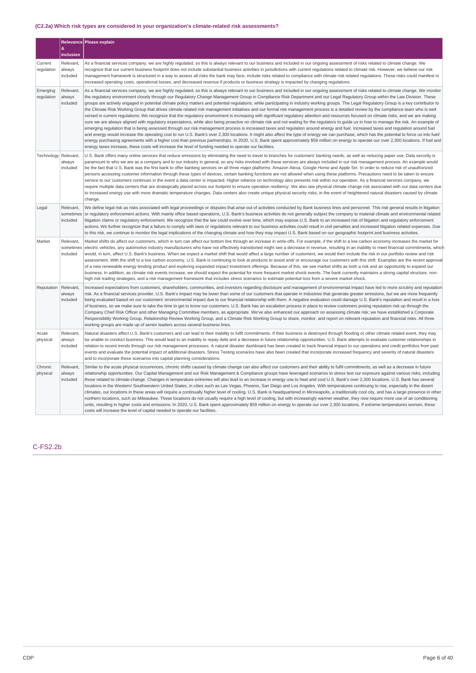### **(C2.2a) Which risk types are considered in your organization's climate-related risk assessments?**

|                        | &                                  | Relevance Please explain                                                                                                                                                                                                                                                                                                                                                                                                                                                                                                                                                                                                                                                                                                                                                                                                                                                                                                                                                                                                                                                                                                                                                                                                                                                                                                                                                                                                                                                                                                                                                                                                                                                                                                                                                                                                                                           |
|------------------------|------------------------------------|--------------------------------------------------------------------------------------------------------------------------------------------------------------------------------------------------------------------------------------------------------------------------------------------------------------------------------------------------------------------------------------------------------------------------------------------------------------------------------------------------------------------------------------------------------------------------------------------------------------------------------------------------------------------------------------------------------------------------------------------------------------------------------------------------------------------------------------------------------------------------------------------------------------------------------------------------------------------------------------------------------------------------------------------------------------------------------------------------------------------------------------------------------------------------------------------------------------------------------------------------------------------------------------------------------------------------------------------------------------------------------------------------------------------------------------------------------------------------------------------------------------------------------------------------------------------------------------------------------------------------------------------------------------------------------------------------------------------------------------------------------------------------------------------------------------------------------------------------------------------|
|                        | inclusion                          |                                                                                                                                                                                                                                                                                                                                                                                                                                                                                                                                                                                                                                                                                                                                                                                                                                                                                                                                                                                                                                                                                                                                                                                                                                                                                                                                                                                                                                                                                                                                                                                                                                                                                                                                                                                                                                                                    |
| Current<br>regulation  | Relevant,<br>always<br>included    | As a financial services company, we are highly regulated, so this is always relevant to our business and included in our ongoing assessment of risks related to climate change. We<br>recognize that our current business footprint does not include substantial business activities in jurisdictions with current regulations related to climate risk. However, we believe our risk<br>management framework is structured in a way to assess all risks the bank may face, include risks related to compliance with climate risk related regulations. These risks could manifest in<br>increased operating costs, operational losses, and decreased revenue if products or business strategy is impacted by changing regulations.                                                                                                                                                                                                                                                                                                                                                                                                                                                                                                                                                                                                                                                                                                                                                                                                                                                                                                                                                                                                                                                                                                                                  |
| Emerging<br>regulation | Relevant,<br>always<br>included    | As a financial services company, we are highly regulated, so this is always relevant to our business and included in our ongoing assessment of risks related to climate change. We monitor<br>the regulatory environment closely through our Regulatory Change Management Group in Compliance Risk Department and our Legal Regulatory Group within the Law Division. These<br>groups are actively engaged in potential climate policy matters and potential regulations, while participating in industry working groups. The Legal Regulatory Group is a key contributor to<br>the Climate Risk Working Group that drives climate related risk management initiatives and our formal risk management process is a detailed review by the compliance team who is well<br>versed in current regulations. We recognize that the regulatory environment is increasing with significant regulatory attention and resources focused on climate risks, and we are making<br>sure we are always aligned with regulatory expectations, while also being proactive on climate risk and not waiting for the regulators to guide us in how to manage the risk. An example of<br>emerging regulation that is being assessed through our risk management process is increased taxes and regulation around energy and fuel. Increased taxes and regulation around fuel<br>and energy would increase the operating cost to run U.S. Bank's over 2,300 locations. It might also affect the type of energy we can purchase, which has the potential to force us into fuel/<br>energy purchasing agreements with a higher cost than previous partnerships. In 2020, U.S. Bank spent approximately \$59 million on energy to operate our over 2,300 locations. If fuel and<br>energy taxes increase, these costs will increase the level of funding needed to operate our facilities. |
| Technology Relevant,   | always<br>included                 | U.S. Bank offers many online services that reduce emissions by eliminating the need to travel to branches for customers' banking needs, as well as reducing paper use. Data security is<br>paramount to who we are as a company and to our industry in general, so any risks involved with these services are always included in our risk management process. An example would<br>be the fact that U.S. Bank was the first bank to offer banking services on all three major platforms: Amazon Alexa, Google Home and Apple Siri. In order to reduce risk of unauthorized<br>persons accessing customer information through these types of devices, certain banking functions are not allowed when using these platforms. Precautions need to be taken to ensure<br>service to our customers continues in the event a data center is impacted. Higher reliance on technology also presents risk within our operation. As a financial services company, we<br>require multiple data centers that are strategically placed across our footprint to ensure operation resiliency. We also see physical climate change risk associated with our data centers due<br>to increased energy use with more dramatic temperature changes. Data centers also create unique physical security risks, in the event of heightened natural disasters caused by climate<br>change.                                                                                                                                                                                                                                                                                                                                                                                                                                                                                                  |
| Legal                  | Relevant,<br>sometimes<br>included | We define legal risk as risks associated with legal proceedings or disputes that arise out of activities conducted by Bank business lines and personnel. This risk general results in litigation<br>or regulatory enforcement actions. With mainly office based operations, U.S. Bank's business activities do not generally subject the company to material climate and environmental related<br>litigation claims or regulatory enforcement. We recognize that the law could evolve over time, which may expose U.S. Bank to an increased risk of litigation and regulatory enforcement<br>actions. We further recognize that a failure to comply with laws or regulations relevant to our business activities could result in civil penalties and increased litigation related expenses. Due<br>to this risk, we continue to monitor the legal implications of the changing climate and how they may impact U.S. Bank based on our geographic footprint and business activities.                                                                                                                                                                                                                                                                                                                                                                                                                                                                                                                                                                                                                                                                                                                                                                                                                                                                                |
| Market                 | Relevant,<br>sometimes<br>included | Market shifts do affect our customers, which in turn can affect our bottom line through an increase in write-offs. For example, if the shift to a low carbon economy increases the market for<br>electric vehicles, any automotive industry manufacturers who have not effectively transitioned might see a decrease in revenue, resulting in an inability to meet financial commitments, which<br>would, in turn, affect U.S. Bank's business. When we expect a market shift that would affect a large number of customers, we would then include the risk in our portfolio review and risk<br>assessment. With the shift to a low carbon economy, U.S. Bank is continuing to look at products to assist and/ or encourage our customers with this shift. Examples are the recent approval<br>of a new renewable energy lending product and exploring expanded impact investment offerings. Because of this, we see market shifts as both a risk and an opportunity to expand our<br>business. In addition, as climate risk events increase, we should expect the potential for more frequent market shock events. The bank currently maintains a strong capital structure, non-<br>high risk trading strategies, and a risk management framework that includes stress scenarios to estimate potential loss from a severe market shock.                                                                                                                                                                                                                                                                                                                                                                                                                                                                                                                           |
| Reputation             | Relevant,<br>always<br>included    | Increased expectations from customers, shareholders, communities, and investors regarding disclosure and management of environmental impact have led to more scrutiny and reputation<br>risk. As a financial services provider, U.S. Bank's impact may be lower than some of our customers that operate in industries that generate greater emissions, but we are more frequently<br>being evaluated based on our customers' environmental impact due to our financial relationship with them. A negative evaluation could damage U.S. Bank's reputation and result in a loss<br>of business, so we make sure to take the time to get to know our customers. U.S. Bank has an escalation process in place to review customers posing reputation risk up through the<br>Company Chief Risk Officer and other Managing Committee members, as appropriate. We've also enhanced our approach on assessing climate risk; we have established a Corporate<br>Responsibility Working Group, Relationship Review Working Group, and a Climate Risk Working Group to share, monitor, and report on relevant reputation and financial risks. All three<br>working groups are made up of senior leaders across several business lines.                                                                                                                                                                                                                                                                                                                                                                                                                                                                                                                                                                                                                                        |
| Acute<br>physical      | Relevant,<br>always<br>included    | Natural disasters affect U.S. Bank's customers and can lead to their inability to fulfil commitments. If their business is destroyed through flooding or other climate related event, they may<br>be unable to conduct business. This would lead to an inability to repay debt and a decrease in future relationship opportunities. U.S. Bank attempts to evaluate customer relationships in<br>relation to recent trends through our risk management processes. A natural disaster dashboard has been created to track financial impact to our operations and credit portfolios from past<br>events and evaluate the potential impact of additional disasters. Stress Testing scenarios have also been created that incorporate increased frequency and severity of natural disasters<br>and to incorporate these scenarios into capital planning considerations.                                                                                                                                                                                                                                                                                                                                                                                                                                                                                                                                                                                                                                                                                                                                                                                                                                                                                                                                                                                                 |
| Chronic<br>physical    | Relevant,<br>always<br>included    | Similar to the acute physical occurrences, chronic shifts caused by climate change can also affect our customers and their ability to fulfil commitments, as well as a decrease in future<br>relationship opportunities. Our Capital Management and our Risk Management & Compliance groups have leveraged scenarios to stress test our exposure against various risks, including<br>those related to climate-change. Changes in temperature extremes will also lead to an increase in energy use to heat and cool U.S. Bank's over 2,300 locations. U.S. Bank has several<br>locations in the Western/ Southwestern United States, in cities such as Las Vegas, Phoenix, San Diego and Los Angeles. With temperatures continuing to rise, especially in the desert<br>climates, our locations in these areas will require a continually higher level of cooling. U.S. Bank is headquartered in Minneapolis, a traditionally cool city, and has a large presence in other<br>northern locations, such as Milwaukee. These locations do not usually require a high level of cooling, but with increasingly warmer weather, they now require more use of air conditioning<br>units, resulting in higher costs and emissions. In 2020, U.S. Bank spent approximately \$59 million on energy to operate our over 2,300 locations. If extreme temperatures worsen, these<br>costs will increase the level of capital needed to operate our facilities.                                                                                                                                                                                                                                                                                                                                                                                                                  |

### C-FS2.2b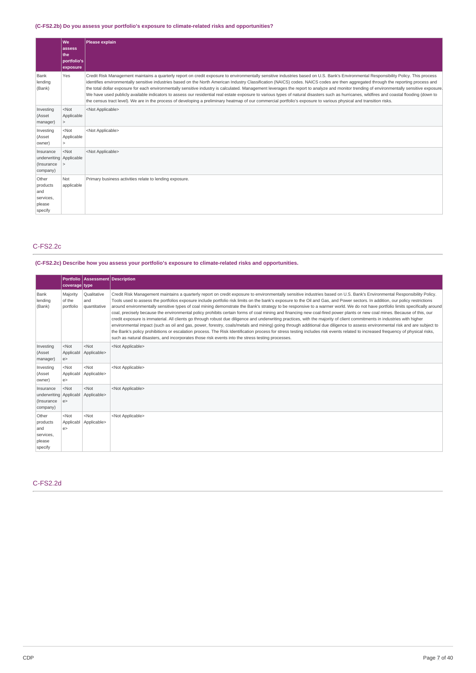## **(C-FS2.2b) Do you assess your portfolio's exposure to climate-related risks and opportunities?**

|                                                                  | l Wel<br>assess<br>the<br>portfolio's<br>exposure | Please explain                                                                                                                                                                                                                                                                                                                                                                                                                                                                                                                                                                                                                                                                                                                                                                                                                                                                                                                                     |
|------------------------------------------------------------------|---------------------------------------------------|----------------------------------------------------------------------------------------------------------------------------------------------------------------------------------------------------------------------------------------------------------------------------------------------------------------------------------------------------------------------------------------------------------------------------------------------------------------------------------------------------------------------------------------------------------------------------------------------------------------------------------------------------------------------------------------------------------------------------------------------------------------------------------------------------------------------------------------------------------------------------------------------------------------------------------------------------|
| Bank<br>lending<br>(Bank)                                        | Yes                                               | Credit Risk Management maintains a quarterly report on credit exposure to environmentally sensitive industries based on U.S. Bank's Environmental Responsibility Policy. This process<br>identifies environmentally sensitive industries based on the North American Industry Classification (NAICS) codes. NAICS codes are then aggregated through the reporting process and<br>the total dollar exposure for each environmentally sensitive industry is calculated. Management leverages the report to analyze and monitor trending of environmentally sensitive exposure.<br>We have used publicly available indicators to assess our residential real estate exposure to various types of natural disasters such as hurricanes, wildfires and coastal flooding (down to<br>the census tract level). We are in the process of developing a preliminary heatmap of our commercial portfolio's exposure to various physical and transition risks. |
| Investing<br>(Asset<br>manager)                                  | $<$ Not<br>Applicable<br>$\mathbf{r}$             | <not applicable=""></not>                                                                                                                                                                                                                                                                                                                                                                                                                                                                                                                                                                                                                                                                                                                                                                                                                                                                                                                          |
| Investing<br>(Asset<br>owner)                                    | <not<br>Applicable<br/>&gt;</not<br>              | <not applicable=""></not>                                                                                                                                                                                                                                                                                                                                                                                                                                                                                                                                                                                                                                                                                                                                                                                                                                                                                                                          |
| Insurance<br>underwriting   Applicable<br>(Insurance<br>company) | $<$ Not                                           | <not applicable=""></not>                                                                                                                                                                                                                                                                                                                                                                                                                                                                                                                                                                                                                                                                                                                                                                                                                                                                                                                          |
| Other<br>products<br>and<br>services,<br>please<br>specify       | Not<br>applicable                                 | Primary business activities relate to lending exposure.                                                                                                                                                                                                                                                                                                                                                                                                                                                                                                                                                                                                                                                                                                                                                                                                                                                                                            |

## C-FS2.2c

## **(C-FS2.2c) Describe how you assess your portfolio's exposure to climate-related risks and opportunities.**

|                                                               | coverage type                   | Portfolio Assessment Description   |                                                                                                                                                                                                                                                                                                                                                                                                                                                                                                                                                                                                                                                                                                                                                                                                                                                                                                                                                                                                                                                                                                                                                                                                                                                                                                                                                                           |
|---------------------------------------------------------------|---------------------------------|------------------------------------|---------------------------------------------------------------------------------------------------------------------------------------------------------------------------------------------------------------------------------------------------------------------------------------------------------------------------------------------------------------------------------------------------------------------------------------------------------------------------------------------------------------------------------------------------------------------------------------------------------------------------------------------------------------------------------------------------------------------------------------------------------------------------------------------------------------------------------------------------------------------------------------------------------------------------------------------------------------------------------------------------------------------------------------------------------------------------------------------------------------------------------------------------------------------------------------------------------------------------------------------------------------------------------------------------------------------------------------------------------------------------|
| Bank<br>lending<br>(Bank)                                     | Majority<br>of the<br>portfolio | Qualitative<br>and<br>quantitative | Credit Risk Management maintains a quarterly report on credit exposure to environmentally sensitive industries based on U.S. Bank's Environmental Responsibility Policy.<br>Tools used to assess the portfolios exposure include portfolio risk limits on the bank's exposure to the Oil and Gas, and Power sectors. In addition, our policy restrictions<br>around environmentally sensitive types of coal mining demonstrate the Bank's strategy to be responsive to a warmer world. We do not have portfolio limits specifically around<br>coal, precisely because the environmental policy prohibits certain forms of coal mining and financing new coal-fired power plants or new coal mines. Because of this, our<br>credit exposure is immaterial. All clients go through robust due diligence and underwriting practices, with the majority of client commitments in industries with higher<br>environmental impact (such as oil and gas, power, forestry, coals/metals and mining) going through additional due diligence to assess environmental risk and are subject to<br>the Bank's policy prohibitions or escalation process. The Risk Identification process for stress testing includes risk events related to increased frequency of physical risks,<br>such as natural disasters, and incorporates those risk events into the stress testing processes. |
| Investing<br>(Asset<br>manager)                               | $<$ Not<br>e                    | $<$ Not<br>Applicabl Applicable>   | <not applicable=""></not>                                                                                                                                                                                                                                                                                                                                                                                                                                                                                                                                                                                                                                                                                                                                                                                                                                                                                                                                                                                                                                                                                                                                                                                                                                                                                                                                                 |
| Investing<br>(Asset<br>owner)                                 | $<$ Not<br>e                    | $<$ Not<br>Applicabl Applicable>   | <not applicable=""></not>                                                                                                                                                                                                                                                                                                                                                                                                                                                                                                                                                                                                                                                                                                                                                                                                                                                                                                                                                                                                                                                                                                                                                                                                                                                                                                                                                 |
| Insurance<br>underwriting Applicabl<br>(Insurance<br>company) | $<$ Not<br>e                    | $<$ Not<br>Applicable>             | <not applicable=""></not>                                                                                                                                                                                                                                                                                                                                                                                                                                                                                                                                                                                                                                                                                                                                                                                                                                                                                                                                                                                                                                                                                                                                                                                                                                                                                                                                                 |
| Other<br>products<br>and<br>services,<br>please<br>specify    | $<$ Not<br>Applicabl<br>e       | $<$ Not<br>Applicable>             | <not applicable=""></not>                                                                                                                                                                                                                                                                                                                                                                                                                                                                                                                                                                                                                                                                                                                                                                                                                                                                                                                                                                                                                                                                                                                                                                                                                                                                                                                                                 |

### C-FS2.2d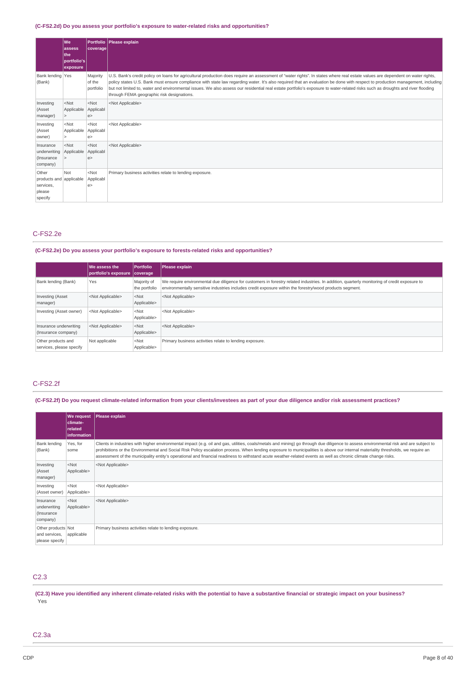## **(C-FS2.2d) Do you assess your portfolio's exposure to water-related risks and opportunities?**

|                                                                    | l We<br>lassess<br>the<br>portfolio's<br>exposure | coverage                        | Portfolio Please explain                                                                                                                                                                                                                                                                                                                                                                                                                                                                                                                                                                        |
|--------------------------------------------------------------------|---------------------------------------------------|---------------------------------|-------------------------------------------------------------------------------------------------------------------------------------------------------------------------------------------------------------------------------------------------------------------------------------------------------------------------------------------------------------------------------------------------------------------------------------------------------------------------------------------------------------------------------------------------------------------------------------------------|
| Bank lending Yes<br>(Bank)                                         |                                                   | Majority<br>of the<br>portfolio | U.S. Bank's credit policy on loans for agricultural production does require an assessment of "water rights". In states where real estate values are dependent on water rights,<br>policy states U.S. Bank must ensure compliance with state law regarding water. It's also required that an evaluation be done with respect to production management, including<br>but not limited to, water and environmental issues. We also assess our residential real estate portfolio's exposure to water-related risks such as droughts and river flooding<br>through FEMA geographic risk designations. |
| Investing<br>(Asset<br>manager)                                    | $<$ Not<br>Applicable Applicabl<br>$\geq$         | $<$ Not<br>e                    | <not applicable=""></not>                                                                                                                                                                                                                                                                                                                                                                                                                                                                                                                                                                       |
| Investing<br>(Asset<br>owner)                                      | $<$ Not<br>Applicable Applicabl                   | $<$ Not<br>e                    | <not applicable=""></not>                                                                                                                                                                                                                                                                                                                                                                                                                                                                                                                                                                       |
| Insurance<br>underwriting<br>(Insurance<br>company)                | $<$ Not<br>Applicable Applicabl<br>$\rightarrow$  | $<$ Not<br>e                    | <not applicable=""></not>                                                                                                                                                                                                                                                                                                                                                                                                                                                                                                                                                                       |
| Other<br>products and applicable<br>services,<br>please<br>specify | Not                                               | $<$ Not<br>Applicabl<br>e >     | Primary business activities relate to lending exposure.                                                                                                                                                                                                                                                                                                                                                                                                                                                                                                                                         |

## C-FS2.2e

### **(C-FS2.2e) Do you assess your portfolio's exposure to forests-related risks and opportunities?**

|                                                | We assess the<br>portfolio's exposure coverage | <b>Portfolio</b>             | Please explain                                                                                                                                                                                                                                           |
|------------------------------------------------|------------------------------------------------|------------------------------|----------------------------------------------------------------------------------------------------------------------------------------------------------------------------------------------------------------------------------------------------------|
| Bank lending (Bank)                            | Yes                                            | Majority of<br>the portfolio | We require environmental due diligence for customers in forestry related industries. In addition, quarterly monitoring of credit exposure to<br>environmentally sensitive industries includes credit exposure within the forestry/wood products segment. |
| Investing (Asset<br>manager)                   | <not applicable=""></not>                      | $<$ Not<br>Applicable>       | <not applicable=""></not>                                                                                                                                                                                                                                |
| Investing (Asset owner)                        | <not applicable=""></not>                      | $<$ Not<br>Applicable>       | <not applicable=""></not>                                                                                                                                                                                                                                |
| Insurance underwriting<br>(Insurance company)  | <not applicable=""></not>                      | $<$ Not<br>Applicable>       | <not applicable=""></not>                                                                                                                                                                                                                                |
| Other products and<br>services, please specify | Not applicable                                 | $<$ Not<br>Applicable>       | Primary business activities relate to lending exposure.                                                                                                                                                                                                  |

### C-FS2.2f

## (C-FS2.2f) Do you request climate-related information from your clients/investees as part of your due diligence and/or risk assessment practices?

|                                                       | <b>We request</b><br>climate-<br><b>related</b><br>information | Please explain                                                                                                                                                                                                                                                                                                                                                                                                                                                                                                                               |
|-------------------------------------------------------|----------------------------------------------------------------|----------------------------------------------------------------------------------------------------------------------------------------------------------------------------------------------------------------------------------------------------------------------------------------------------------------------------------------------------------------------------------------------------------------------------------------------------------------------------------------------------------------------------------------------|
| Bank lending<br>(Bank)                                | Yes, for<br>some                                               | Clients in industries with higher environmental impact (e.g. oil and gas, utilities, coals/metals and mining) go through due diligence to assess environmental risk and are subject to<br>prohibitions or the Environmental and Social Risk Policy escalation process. When lending exposure to municipalities is above our internal materiality thresholds, we require an<br>assessment of the municipality entity's operational and financial readiness to withstand acute weather-related events as well as chronic climate change risks. |
| Investing<br>(Asset<br>manager)                       | $<$ Not<br>Applicable>                                         | <not applicable=""></not>                                                                                                                                                                                                                                                                                                                                                                                                                                                                                                                    |
| Investing<br>(Asset owner)                            | $<$ Not<br>Applicable>                                         | <not applicable=""></not>                                                                                                                                                                                                                                                                                                                                                                                                                                                                                                                    |
| Insurance<br>underwriting<br>(Insurance<br>company)   | $<$ Not<br>Applicable>                                         | <not applicable=""></not>                                                                                                                                                                                                                                                                                                                                                                                                                                                                                                                    |
| Other products Not<br>and services,<br>please specify | applicable                                                     | Primary business activities relate to lending exposure.                                                                                                                                                                                                                                                                                                                                                                                                                                                                                      |

### C2.3

(C2.3) Have you identified any inherent climate-related risks with the potential to have a substantive financial or strategic impact on your business? Yes

### C2.3a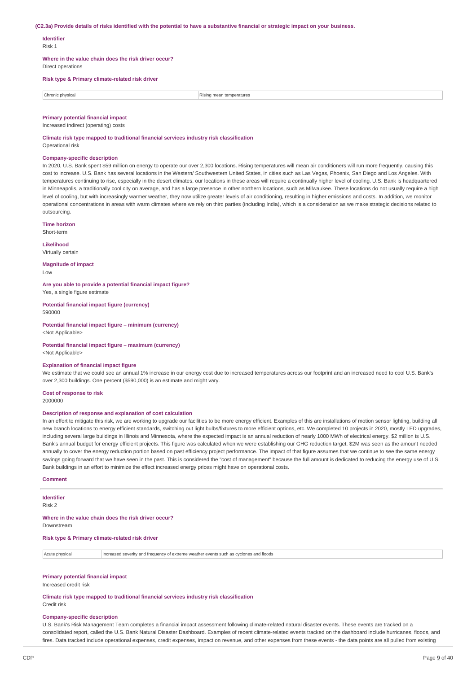#### (C2.3a) Provide details of risks identified with the potential to have a substantive financial or strategic impact on your business.

### **Identifier**

Risk 1

**Where in the value chain does the risk driver occur?**

Direct operations

### **Risk type & Primary climate-related risk driver**

| Chronic physica | temperatures<br>$\sim$ respectively. |
|-----------------|--------------------------------------|

#### **Primary potential financial impact**

Increased indirect (operating) costs

**Climate risk type mapped to traditional financial services industry risk classification** Operational risk

#### **Company-specific description**

In 2020, U.S. Bank spent \$59 million on energy to operate our over 2,300 locations. Rising temperatures will mean air conditioners will run more frequently, causing this cost to increase. U.S. Bank has several locations in the Western/ Southwestern United States, in cities such as Las Vegas, Phoenix, San Diego and Los Angeles. With temperatures continuing to rise, especially in the desert climates, our locations in these areas will require a continually higher level of cooling. U.S. Bank is headquartered in Minneapolis, a traditionally cool city on average, and has a large presence in other northern locations, such as Milwaukee. These locations do not usually require a high level of cooling, but with increasingly warmer weather, they now utilize greater levels of air conditioning, resulting in higher emissions and costs. In addition, we monitor operational concentrations in areas with warm climates where we rely on third parties (including India), which is a consideration as we make strategic decisions related to outsourcing.

#### **Time horizon**

Short-term

**Likelihood** Virtually certain

**Magnitude of impact** Low

**Are you able to provide a potential financial impact figure?** Yes, a single figure estimate

**Potential financial impact figure (currency)** 590000

**Potential financial impact figure – minimum (currency)** <Not Applicable>

**Potential financial impact figure – maximum (currency)**

<Not Applicable>

#### **Explanation of financial impact figure**

We estimate that we could see an annual 1% increase in our energy cost due to increased temperatures across our footprint and an increased need to cool U.S. Bank's over 2,300 buildings. One percent (\$590,000) is an estimate and might vary.

#### **Cost of response to risk** 2000000

#### **Description of response and explanation of cost calculation**

In an effort to mitigate this risk, we are working to upgrade our facilities to be more energy efficient. Examples of this are installations of motion sensor lighting, building all new branch locations to energy efficient standards, switching out light bulbs/fixtures to more efficient options, etc. We completed 10 projects in 2020, mostly LED upgrades, including several large buildings in Illinois and Minnesota, where the expected impact is an annual reduction of nearly 1000 MWh of electrical energy. \$2 million is U.S. Bank's annual budget for energy efficient projects. This figure was calculated when we were establishing our GHG reduction target. \$2M was seen as the amount needed annually to cover the energy reduction portion based on past efficiency project performance. The impact of that figure assumes that we continue to see the same energy savings going forward that we have seen in the past. This is considered the "cost of management" because the full amount is dedicated to reducing the energy use of U.S. Bank buildings in an effort to minimize the effect increased energy prices might have on operational costs.

#### **Comment**

## **Identifier**

Risk 2

**Where in the value chain does the risk driver occur?** Downstream

### **Risk type & Primary climate-related risk driver**

| Acute physical | Increased severity and frequency of extreme weather events such as cyclones and floods |  |
|----------------|----------------------------------------------------------------------------------------|--|
|                |                                                                                        |  |

#### **Primary potential financial impact**

Increased credit risk

**Climate risk type mapped to traditional financial services industry risk classification** Credit risk

#### **Company-specific description**

U.S. Bank's Risk Management Team completes a financial impact assessment following climate-related natural disaster events. These events are tracked on a consolidated report, called the U.S. Bank Natural Disaster Dashboard. Examples of recent climate-related events tracked on the dashboard include hurricanes, floods, and fires. Data tracked include operational expenses, credit expenses, impact on revenue, and other expenses from these events - the data points are all pulled from existing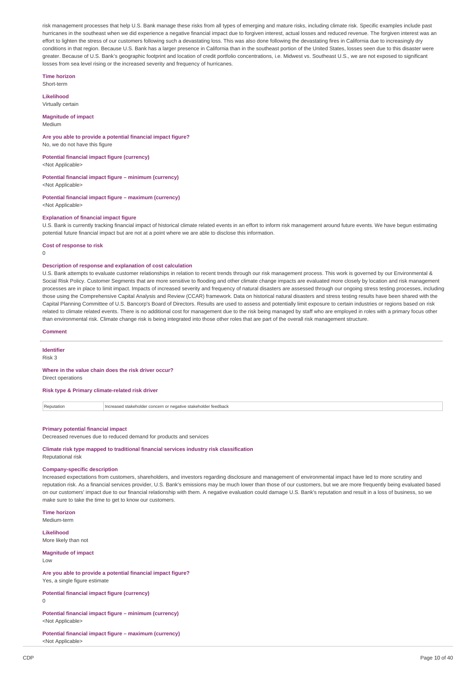risk management processes that help U.S. Bank manage these risks from all types of emerging and mature risks, including climate risk. Specific examples include past hurricanes in the southeast when we did experience a negative financial impact due to forgiven interest, actual losses and reduced revenue. The forgiven interest was an effort to lighten the stress of our customers following such a devastating loss. This was also done following the devastating fires in California due to increasingly dry conditions in that region. Because U.S. Bank has a larger presence in California than in the southeast portion of the United States, losses seen due to this disaster were greater. Because of U.S. Bank's geographic footprint and location of credit portfolio concentrations, i.e. Midwest vs. Southeast U.S., we are not exposed to significant losses from sea level rising or the increased severity and frequency of hurricanes.

**Time horizon**

Short-term

**Likelihood** Virtually certain

**Magnitude of impact** Medium

**Are you able to provide a potential financial impact figure?** No, we do not have this figure

**Potential financial impact figure (currency)** <Not Applicable>

**Potential financial impact figure – minimum (currency)** <Not Applicable>

**Potential financial impact figure – maximum (currency)** <Not Applicable>

### **Explanation of financial impact figure**

U.S. Bank is currently tracking financial impact of historical climate related events in an effort to inform risk management around future events. We have begun estimating potential future financial impact but are not at a point where we are able to disclose this information.

**Cost of response to risk**  $\Omega$ 

#### **Description of response and explanation of cost calculation**

U.S. Bank attempts to evaluate customer relationships in relation to recent trends through our risk management process. This work is governed by our Environmental & Social Risk Policy. Customer Segments that are more sensitive to flooding and other climate change impacts are evaluated more closely by location and risk management processes are in place to limit impact. Impacts of increased severity and frequency of natural disasters are assessed through our ongoing stress testing processes, including those using the Comprehensive Capital Analysis and Review (CCAR) framework. Data on historical natural disasters and stress testing results have been shared with the Capital Planning Committee of U.S. Bancorp's Board of Directors. Results are used to assess and potentially limit exposure to certain industries or regions based on risk related to climate related events. There is no additional cost for management due to the risk being managed by staff who are employed in roles with a primary focus other than environmental risk. Climate change risk is being integrated into those other roles that are part of the overall risk management structure.

#### **Comment**

**Identifier**

Risk 3

## **Where in the value chain does the risk driver occur?**

Direct operations

**Risk type & Primary climate-related risk driver**

Reputation **Increased stakeholder concern or negative stakeholder feedback** 

### **Primary potential financial impact**

Decreased revenues due to reduced demand for products and services

**Climate risk type mapped to traditional financial services industry risk classification** Reputational risk

### **Company-specific description**

Increased expectations from customers, shareholders, and investors regarding disclosure and management of environmental impact have led to more scrutiny and reputation risk. As a financial services provider, U.S. Bank's emissions may be much lower than those of our customers, but we are more frequently being evaluated based on our customers' impact due to our financial relationship with them. A negative evaluation could damage U.S. Bank's reputation and result in a loss of business, so we make sure to take the time to get to know our customers.

**Time horizon** Medium-term

**Likelihood**

More likely than not

**Magnitude of impact**

Low

**Are you able to provide a potential financial impact figure?** Yes, a single figure estimate

**Potential financial impact figure (currency)**

0

**Potential financial impact figure – minimum (currency)** <Not Applicable>

**Potential financial impact figure – maximum (currency)** <Not Applicable>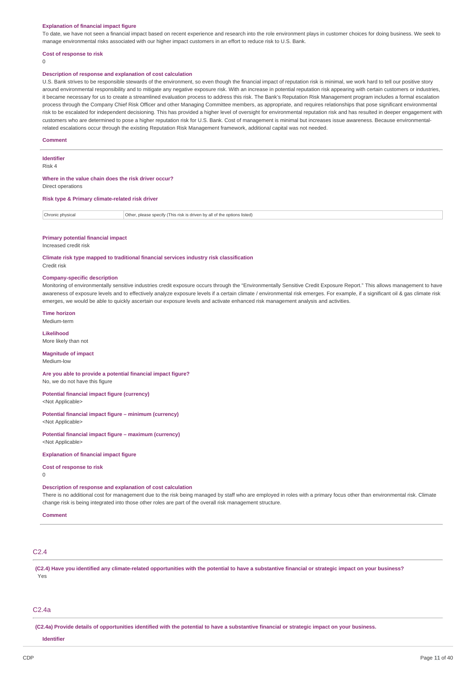#### **Explanation of financial impact figure**

To date, we have not seen a financial impact based on recent experience and research into the role environment plays in customer choices for doing business. We seek to manage environmental risks associated with our higher impact customers in an effort to reduce risk to U.S. Bank.

### **Cost of response to risk**

 $\Omega$ 

#### **Description of response and explanation of cost calculation**

U.S. Bank strives to be responsible stewards of the environment, so even though the financial impact of reputation risk is minimal, we work hard to tell our positive story around environmental responsibility and to mitigate any negative exposure risk. With an increase in potential reputation risk appearing with certain customers or industries, it became necessary for us to create a streamlined evaluation process to address this risk. The Bank's Reputation Risk Management program includes a formal escalation process through the Company Chief Risk Officer and other Managing Committee members, as appropriate, and requires relationships that pose significant environmental risk to be escalated for independent decisioning. This has provided a higher level of oversight for environmental reputation risk and has resulted in deeper engagement with customers who are determined to pose a higher reputation risk for U.S. Bank. Cost of management is minimal but increases issue awareness. Because environmentalrelated escalations occur through the existing Reputation Risk Management framework, additional capital was not needed.

#### **Comment**

## **Identifier**

Risk 4

#### **Where in the value chain does the risk driver occur?**

Direct operations

#### **Risk type & Primary climate-related risk driver**

| Chronic physical | Other, please specify (This risk is driven by all of the options listed) |
|------------------|--------------------------------------------------------------------------|

#### **Primary potential financial impact**

Increased credit risk

**Climate risk type mapped to traditional financial services industry risk classification** Credit risk

#### **Company-specific description**

Monitoring of environmentally sensitive industries credit exposure occurs through the "Environmentally Sensitive Credit Exposure Report." This allows management to have awareness of exposure levels and to effectively analyze exposure levels if a certain climate / environmental risk emerges. For example, if a significant oil & gas climate risk emerges, we would be able to quickly ascertain our exposure levels and activate enhanced risk management analysis and activities.

**Time horizon** Medium-term

## **Likelihood**

More likely than not

## **Magnitude of impact**

Medium-low

### **Are you able to provide a potential financial impact figure?**

No, we do not have this figure

#### **Potential financial impact figure (currency)** <Not Applicable>

**Potential financial impact figure – minimum (currency)**

<Not Applicable>

#### **Potential financial impact figure – maximum (currency)** <Not Applicable>

**Explanation of financial impact figure**

#### **Cost of response to risk**

 $\Omega$ 

#### **Description of response and explanation of cost calculation**

There is no additional cost for management due to the risk being managed by staff who are employed in roles with a primary focus other than environmental risk. Climate change risk is being integrated into those other roles are part of the overall risk management structure.

**Comment**

### $C<sub>2</sub>$  4

(C2.4) Have you identified any climate-related opportunities with the potential to have a substantive financial or strategic impact on your business? Yes

### C2.4a

(C2.4a) Provide details of opportunities identified with the potential to have a substantive financial or strategic impact on your business.

**Identifier**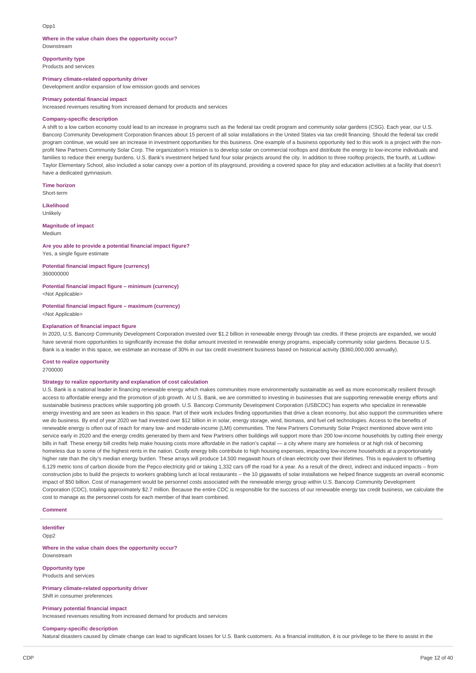#### Opp1

## **Where in the value chain does the opportunity occur?**

Downstream

**Opportunity type** Products and services

**Primary climate-related opportunity driver**

Development and/or expansion of low emission goods and services

#### **Primary potential financial impact**

Increased revenues resulting from increased demand for products and services

#### **Company-specific description**

A shift to a low carbon economy could lead to an increase in programs such as the federal tax credit program and community solar gardens (CSG). Each year, our U.S. Bancorp Community Development Corporation finances about 15 percent of all solar installations in the United States via tax credit financing. Should the federal tax credit program continue, we would see an increase in investment opportunities for this business. One example of a business opportunity tied to this work is a project with the nonprofit New Partners Community Solar Corp. The organization's mission is to develop solar on commercial rooftops and distribute the energy to low-income individuals and families to reduce their energy burdens. U.S. Bank's investment helped fund four solar projects around the city. In addition to three rooftop projects, the fourth, at Ludlow-Taylor Elementary School, also included a solar canopy over a portion of its playground, providing a covered space for play and education activities at a facility that doesn't have a dedicated gymnasium.

**Time horizon** Short-term

**Likelihood** Unlikely

#### **Magnitude of impact** Medium

## **Are you able to provide a potential financial impact figure?**

Yes, a single figure estimate

**Potential financial impact figure (currency)** 360000000

**Potential financial impact figure – minimum (currency)** <Not Applicable>

**Potential financial impact figure – maximum (currency)** <Not Applicable>

#### **Explanation of financial impact figure**

In 2020, U.S. Bancorp Community Development Corporation invested over \$1.2 billion in renewable energy through tax credits. If these projects are expanded, we would have several more opportunities to significantly increase the dollar amount invested in renewable energy programs, especially community solar gardens. Because U.S. Bank is a leader in this space, we estimate an increase of 30% in our tax credit investment business based on historical activity (\$360,000,000 annually).

### **Cost to realize opportunity**

2700000

#### **Strategy to realize opportunity and explanation of cost calculation**

U.S. Bank is a national leader in financing renewable energy which makes communities more environmentally sustainable as well as more economically resilient through access to affordable energy and the promotion of job growth. At U.S. Bank, we are committed to investing in businesses that are supporting renewable energy efforts and sustainable business practices while supporting job growth. U.S. Bancorp Community Development Corporation (USBCDC) has experts who specialize in renewable energy investing and are seen as leaders in this space. Part of their work includes finding opportunities that drive a clean economy, but also support the communities where we do business. By end of year 2020 we had invested over \$12 billion in in solar, energy storage, wind, biomass, and fuel cell technologies. Access to the benefits of renewable energy is often out of reach for many low- and moderate-income (LMI) communities. The New Partners Community Solar Project mentioned above went into service early in 2020 and the energy credits generated by them and New Partners other buildings will support more than 200 low-income households by cutting their energy bills in half. These energy bill credits help make housing costs more affordable in the nation's capital - a city where many are homeless or at high risk of becoming homeless due to some of the highest rents in the nation. Costly energy bills contribute to high housing expenses, impacting low-income households at a proportionately higher rate than the city's median energy burden. These arrays will produce 14,500 megawatt hours of clean electricity over their lifetimes. This is equivalent to offsetting 6,129 metric tons of carbon dioxide from the Pepco electricity grid or taking 1,332 cars off the road for a year. As a result of the direct, indirect and induced impacts – from construction jobs to build the projects to workers grabbing lunch at local restaurants – the 10 gigawatts of solar installations we helped finance suggests an overall economic impact of \$50 billion. Cost of management would be personnel costs associated with the renewable energy group within U.S. Bancorp Community Development Corporation (CDC), totaling approximately \$2.7 million. Because the entire CDC is responsible for the success of our renewable energy tax credit business, we calculate the cost to manage as the personnel costs for each member of that team combined.

### **Comment**

**Identifier**

Opp2

#### **Where in the value chain does the opportunity occur?** Downstream

## **Opportunity type**

Products and services

**Primary climate-related opportunity driver** Shift in consumer preferences

## **Primary potential financial impact**

Increased revenues resulting from increased demand for products and services

#### **Company-specific description**

Natural disasters caused by climate change can lead to significant losses for U.S. Bank customers. As a financial institution, it is our privilege to be there to assist in the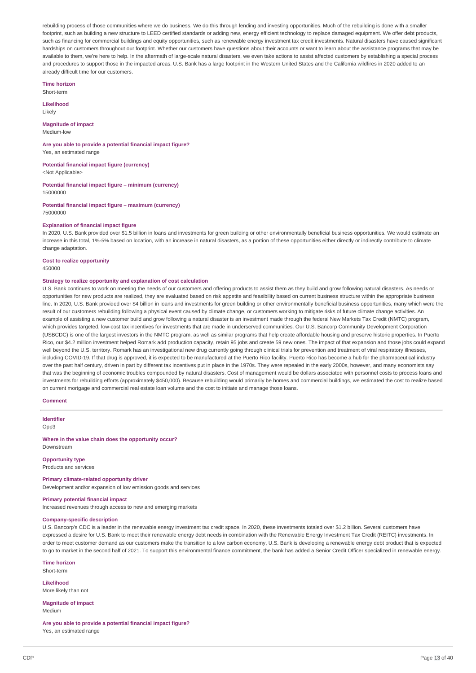rebuilding process of those communities where we do business. We do this through lending and investing opportunities. Much of the rebuilding is done with a smaller footprint, such as building a new structure to LEED certified standards or adding new, energy efficient technology to replace damaged equipment. We offer debt products, such as financing for commercial buildings and equity opportunities, such as renewable energy investment tax credit investments. Natural disasters have caused significant hardships on customers throughout our footprint. Whether our customers have questions about their accounts or want to learn about the assistance programs that may be available to them, we're here to help. In the aftermath of large-scale natural disasters, we even take actions to assist affected customers by establishing a special process and procedures to support those in the impacted areas. U.S. Bank has a large footprint in the Western United States and the California wildfires in 2020 added to an already difficult time for our customers.

**Time horizon** Short-term

**Likelihood**

Likely

**Magnitude of impact** Medium-low

**Are you able to provide a potential financial impact figure?** Yes, an estimated range

**Potential financial impact figure (currency)**

<Not Applicable>

**Potential financial impact figure – minimum (currency)** 15000000

**Potential financial impact figure – maximum (currency)** 75000000

### **Explanation of financial impact figure**

In 2020, U.S. Bank provided over \$1.5 billion in loans and investments for green building or other environmentally beneficial business opportunities. We would estimate an increase in this total, 1%-5% based on location, with an increase in natural disasters, as a portion of these opportunities either directly or indirectly contribute to climate change adaptation.

### **Cost to realize opportunity**

450000

#### **Strategy to realize opportunity and explanation of cost calculation**

U.S. Bank continues to work on meeting the needs of our customers and offering products to assist them as they build and grow following natural disasters. As needs or opportunities for new products are realized, they are evaluated based on risk appetite and feasibility based on current business structure within the appropriate business line. In 2020, U.S. Bank provided over \$4 billion in loans and investments for green building or other environmentally beneficial business opportunities, many which were the result of our customers rebuilding following a physical event caused by climate change, or customers working to mitigate risks of future climate change activities. An example of assisting a new customer build and grow following a natural disaster is an investment made through the federal New Markets Tax Credit (NMTC) program, which provides targeted, low-cost tax incentives for investments that are made in underserved communities. Our U.S. Bancorp Community Development Corporation (USBCDC) is one of the largest investors in the NMTC program, as well as similar programs that help create affordable housing and preserve historic properties. In Puerto Rico, our \$4.2 million investment helped Romark add production capacity, retain 95 jobs and create 59 new ones. The impact of that expansion and those jobs could expand well beyond the U.S. territory. Romark has an investigational new drug currently going through clinical trials for prevention and treatment of viral respiratory illnesses including COVID-19. If that drug is approved, it is expected to be manufactured at the Puerto Rico facility. Puerto Rico has become a hub for the pharmaceutical industry over the past half century, driven in part by different tax incentives put in place in the 1970s. They were repealed in the early 2000s, however, and many economists say that was the beginning of economic troubles compounded by natural disasters. Cost of management would be dollars associated with personnel costs to process loans and investments for rebuilding efforts (approximately \$450,000). Because rebuilding would primarily be homes and commercial buildings, we estimated the cost to realize based on current mortgage and commercial real estate loan volume and the cost to initiate and manage those loans.

### **Comment**

**Identifier**

Opp3

**Where in the value chain does the opportunity occur?** Downstream

**Opportunity type** Products and services

#### **Primary climate-related opportunity driver**

Development and/or expansion of low emission goods and services

### **Primary potential financial impact**

Increased revenues through access to new and emerging markets

#### **Company-specific description**

U.S. Bancorp's CDC is a leader in the renewable energy investment tax credit space. In 2020, these investments totaled over \$1.2 billion. Several customers have expressed a desire for U.S. Bank to meet their renewable energy debt needs in combination with the Renewable Energy Investment Tax Credit (REITC) investments. In order to meet customer demand as our customers make the transition to a low carbon economy, U.S. Bank is developing a renewable energy debt product that is expected to go to market in the second half of 2021. To support this environmental finance commitment, the bank has added a Senior Credit Officer specialized in renewable energy.

**Time horizon** Short-term

**Likelihood** More likely than not

**Magnitude of impact** Medium

**Are you able to provide a potential financial impact figure?** Yes, an estimated range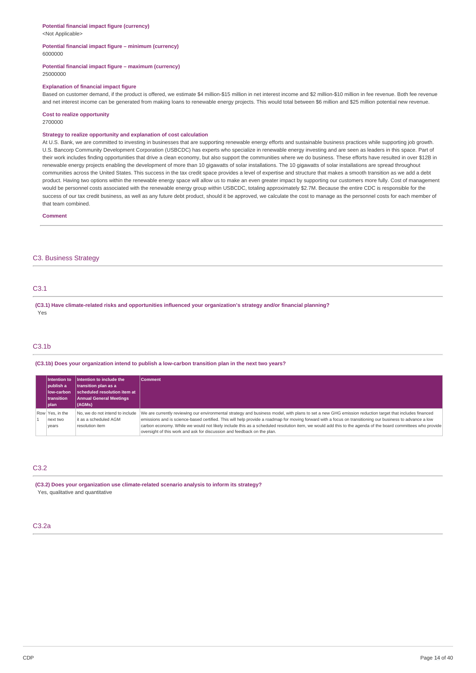## **Potential financial impact figure (currency)**

<Not Applicable>

#### **Potential financial impact figure – minimum (currency)** 6000000

#### **Potential financial impact figure – maximum (currency)** 25000000

#### **Explanation of financial impact figure**

Based on customer demand, if the product is offered, we estimate \$4 million-\$15 million in net interest income and \$2 million-\$10 million in fee revenue. Both fee revenue and net interest income can be generated from making loans to renewable energy projects. This would total between \$6 million and \$25 million potential new revenue.

#### **Cost to realize opportunity**

2700000

#### **Strategy to realize opportunity and explanation of cost calculation**

At U.S. Bank, we are committed to investing in businesses that are supporting renewable energy efforts and sustainable business practices while supporting job growth. U.S. Bancorp Community Development Corporation (USBCDC) has experts who specialize in renewable energy investing and are seen as leaders in this space. Part of their work includes finding opportunities that drive a clean economy, but also support the communities where we do business. These efforts have resulted in over \$12B in renewable energy projects enabling the development of more than 10 gigawatts of solar installations. The 10 gigawatts of solar installations are spread throughout communities across the United States. This success in the tax credit space provides a level of expertise and structure that makes a smooth transition as we add a debt product. Having two options within the renewable energy space will allow us to make an even greater impact by supporting our customers more fully. Cost of management would be personnel costs associated with the renewable energy group within USBCDC, totaling approximately \$2.7M. Because the entire CDC is responsible for the success of our tax credit business, as well as any future debt product, should it be approved, we calculate the cost to manage as the personnel costs for each member of that team combined.

#### **Comment**

### C3. Business Strategy

### C3.1

**(C3.1) Have climate-related risks and opportunities influenced your organization's strategy and/or financial planning?** Yes

### $C3.1<sub>b</sub>$

#### **(C3.1b) Does your organization intend to publish a low-carbon transition plan in the next two years?**

| Intention to<br>I publish a<br>low-carbon<br><b>Itransition</b><br> plan | Intention to include the<br>transition plan as a<br>scheduled resolution item at<br><b>Annual General Meetings</b><br>$ $ (AGMs) | Comment                                                                                                                                                                                                                                                                                                                                                                                                                                                                                                                                                      |
|--------------------------------------------------------------------------|----------------------------------------------------------------------------------------------------------------------------------|--------------------------------------------------------------------------------------------------------------------------------------------------------------------------------------------------------------------------------------------------------------------------------------------------------------------------------------------------------------------------------------------------------------------------------------------------------------------------------------------------------------------------------------------------------------|
| Row Yes, in the<br>next two<br>vears                                     | No, we do not intend to include<br>it as a scheduled AGM<br>resolution item                                                      | We are currently reviewing our environmental strategy and business model, with plans to set a new GHG emission reduction target that includes financed<br>emissions and is science-based certified. This will help provide a roadmap for moving forward with a focus on transitioning our business to advance a low<br>carbon economy. While we would not likely include this as a scheduled resolution item, we would add this to the agenda of the board committees who provide<br>oversight of this work and ask for discussion and feedback on the plan. |

## C3.2

**(C3.2) Does your organization use climate-related scenario analysis to inform its strategy?**

Yes, qualitative and quantitative

### C3.2a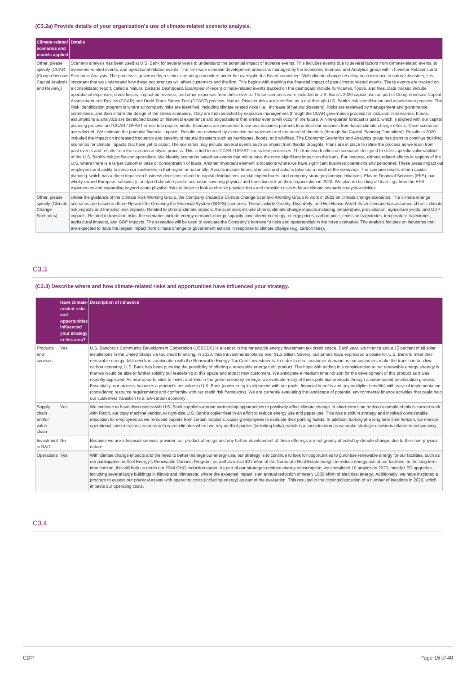### **(C3.2a) Provide details of your organization's use of climate-related scenario analysis.**

| Climate-related Details<br>scenarios and<br>models applied                           |                                                                                                                                                                                                                                                                                                                                                                                                                                                                                                                                                                                                                                                                                                                                                                                                                                                                                                                                                                                                                                                                                                                                                                                                                                                                                                                                                                                                                                                                                                                                                                                                                                                                                                                                                                                                                                                                                                                                                                                                                                                                                                                                                                                                                                                                                                                                                                                                                                                                                                                                                                                                                                                                                                                                                                                                                                                                                                                                                                                                                                                                                                                                                                                                                                                                                                                                                                                                                                                                                                                                                                                                                                                                                                                                                                                                                                                                                                                                                                                                                                                                                                                                                                                                                 |
|--------------------------------------------------------------------------------------|-----------------------------------------------------------------------------------------------------------------------------------------------------------------------------------------------------------------------------------------------------------------------------------------------------------------------------------------------------------------------------------------------------------------------------------------------------------------------------------------------------------------------------------------------------------------------------------------------------------------------------------------------------------------------------------------------------------------------------------------------------------------------------------------------------------------------------------------------------------------------------------------------------------------------------------------------------------------------------------------------------------------------------------------------------------------------------------------------------------------------------------------------------------------------------------------------------------------------------------------------------------------------------------------------------------------------------------------------------------------------------------------------------------------------------------------------------------------------------------------------------------------------------------------------------------------------------------------------------------------------------------------------------------------------------------------------------------------------------------------------------------------------------------------------------------------------------------------------------------------------------------------------------------------------------------------------------------------------------------------------------------------------------------------------------------------------------------------------------------------------------------------------------------------------------------------------------------------------------------------------------------------------------------------------------------------------------------------------------------------------------------------------------------------------------------------------------------------------------------------------------------------------------------------------------------------------------------------------------------------------------------------------------------------------------------------------------------------------------------------------------------------------------------------------------------------------------------------------------------------------------------------------------------------------------------------------------------------------------------------------------------------------------------------------------------------------------------------------------------------------------------------------------------------------------------------------------------------------------------------------------------------------------------------------------------------------------------------------------------------------------------------------------------------------------------------------------------------------------------------------------------------------------------------------------------------------------------------------------------------------------------------------------------------------------------------------------------------------------------------------------------------------------------------------------------------------------------------------------------------------------------------------------------------------------------------------------------------------------------------------------------------------------------------------------------------------------------------------------------------------------------------------------------------------------------------------------------------|
| Other, please<br>specify (CCAR<br>(Comprehensive<br>Capital Analysis<br>and Review)) | Scenario analysis has been used at U.S. Bank for several years to understand the potential impact of adverse events. This includes events due to several factors from climate-related events, to<br>economic-related events, and operational-related events. The firm-wide scenario development process is managed by the Economic Scenario and Analytics group within Investor Relations and<br>Economic Analysis. The process is governed by a senior operating committee under the oversight of a Board committee. With climate change resulting in an increase in natural disasters, it is<br>important that we understand how these occurrences will affect customers and the firm. This begins with tracking the financial impact of past climate-related events. These events are tracked on<br>a consolidated report, called a Natural Disaster Dashboard. Examples of recent climate-related events tracked on the dashboard include hurricanes, floods, and fires. Data tracked include<br>operational expenses, credit losses, impact on revenue, and other expenses from these events. These scenarios were included in U.S. Bank's 2020 capital plan as part of Comprehensive Capital<br>Assessment and Review (CCAR) and Dodd-Frank Stress Test (DFAST) process. Natural Disaster risks are identified as a risk through U.S. Bank's risk identification and assessment process. The<br>Risk Identification program is where all company risks are identified, including climate related risks (i.e.: increase of natural disasters). Risks are reviewed by management and governance<br>committees, and then inform the design of the stress scenarios. They are then selected by executive management through the CCAR governance process for inclusion in scenarios. Inputs,<br>assumptions & analytics are developed based on historical experience and expectations that similar events will occur in the future. A nine-quarter forecast is used, which is aligned with our capital<br>planning process and CCAR / DFAST stress test requirements. Scenarios are presented to various business partners to protect our business from future climate change effects. Once scenarios<br>are selected, We estimate the potential financial impacts. Results are reviewed by executive management and the board of directors (through the Capital Planning Committee). Results in 2020<br>included the impact on increased frequency and severity of natural disasters such as hurricanes, floods, and wildfires. The Economic Scenarios and Analytics group has plans to continue building<br>scenarios for climate impacts that have yet to occur. The scenarios may include several events such as impact from floods/ droughts. Plans are in place to refine the process as we learn from<br>past events and results from the scenario analysis process. This is tied to our CCAR / DFAST stress test processes. The framework relies on scenarios designed to stress specific vulnerabilities<br>of the U.S. Bank's risk profile and operations. We identify scenarios based on events that might have the most significant impact on the bank. For instance, climate related effects in regions of the<br>U.S. where there is a larger customer base or concentration of loans. Another important element is locations where we have significant business operations and personnel. These areas impact our<br>employees and ability to serve our customers in that region or nationally. Results include financial impact and actions taken as a result of the scenarios. The scenario results inform capital<br>planning, which has a direct impact on business decisions related to capital distributions, capital expenditures, and company strategic planning initiatives. Elavon Financial Services (EFS), our<br>wholly owned European subsidiary, analyzed climate-specific scenarios covering physical and transition risk on their organization in 2020. We plan on building off learnings from the EFS<br>experiences and expanding beyond acute physical risks to begin to look at chronic physical risks and transition risks in future climate scenario analysis activities. |
| Other, please<br>specify (Climate<br>Change<br>Scenarios)                            | Under the quidance of the Climate Risk Working Group, the Company created a Climate Change Scenario Working Group to work in 2021 on climate change scenarios. The climate change<br>scenarios are based on three Network for Greening the Financial System (NGFS) scenarios. These include Orderly, Disorderly, and Hot House World. Each scenario has assumed chronic climate<br>risk impacts and transition risk impacts. Related to chronic climate impacts, the scenarios include chronic climate change impacts including temperature, precipitation, agriculture yields, and GDP<br>impacts. Related to transition risks, the scenarios include energy demand, energy capacity, investment in energy, energy prices, carbon price, emission trajectories, temperature trajectories,<br>agricultural impacts, and GDP impacts. The scenarios will be used to evaluate the Company's borrower's risks and opportunities in the three scenarios. The analysis focuses on industries that<br>are expected to have the largest impact from climate change or government actions in response to climate change (e.g. carbon fees).                                                                                                                                                                                                                                                                                                                                                                                                                                                                                                                                                                                                                                                                                                                                                                                                                                                                                                                                                                                                                                                                                                                                                                                                                                                                                                                                                                                                                                                                                                                                                                                                                                                                                                                                                                                                                                                                                                                                                                                                                                                                                                                                                                                                                                                                                                                                                                                                                                                                                                                                                                                                                                                                                                                                                                                                                                                                                                                                                                                                                                                                             |

## C3.3

## **(C3.3) Describe where and how climate-related risks and opportunities have influenced your strategy.**

|                                             | related risks<br>land<br>opportunities<br><b>linfluenced</b><br>vour strategy<br>in this area? | Have climate- Description of influence                                                                                                                                                                                                                                                                                                                                                                                                                                                                                                                                                                                                                                                                                                                                                                                                                                                                                                                                                                                                                                                                                                                                                                                                                                                                                                                                                                                                                                                                                                                                            |
|---------------------------------------------|------------------------------------------------------------------------------------------------|-----------------------------------------------------------------------------------------------------------------------------------------------------------------------------------------------------------------------------------------------------------------------------------------------------------------------------------------------------------------------------------------------------------------------------------------------------------------------------------------------------------------------------------------------------------------------------------------------------------------------------------------------------------------------------------------------------------------------------------------------------------------------------------------------------------------------------------------------------------------------------------------------------------------------------------------------------------------------------------------------------------------------------------------------------------------------------------------------------------------------------------------------------------------------------------------------------------------------------------------------------------------------------------------------------------------------------------------------------------------------------------------------------------------------------------------------------------------------------------------------------------------------------------------------------------------------------------|
| Products<br>and<br>services                 | Yes                                                                                            | U.S. Bancorp's Community Development Corporation (USBCDC) is a leader in the renewable energy investment tax credit space. Each year, we finance about 15 percent of all solar<br>installations in the United States via tax credit financing. In 2020, these investments totaled over \$1.2 billion. Several customers have expressed a desire for U.S. Bank to meet their<br>renewable energy debt needs in combination with the Renewable Energy Tax Credit investments. In order to meet customer demand as our customers make the transition to a low<br>carbon economy, U.S. Bank has been pursuing the possibility of offering a renewable energy debt product. The hope with adding this consideration to our renewable energy strategy is<br>that we would be able to further solidify our leadership in this space and attract new customers. We anticipate a medium time horizon for the development of this product as it was<br>recently approved. As new opportunities to invest and lend in the green economy emerge, we evaluate many of these potential products through a value-based prioritization process.<br>Essentially, our process balances a product's net value to U.S. Bank (considering its alignment with our goals, financial benefits and any multiplier benefits) with ease of implementation<br>(considering resource requirements and conformity with our credit risk framework). We are currently evaluating the landscape of potential environmental finance activities that could help<br>our customers transition to a low-carbon economy. |
| Supply<br>chain<br>and/or<br>value<br>chain | Yes                                                                                            | We continue to have discussions with U.S. Bank suppliers around partnership opportunities to positively affect climate change. A short-term time horizon example of this is current work<br>with Ricoh, our copy machine vendor, to right-size U.S. Bank's copier fleet in an effort to reduce energy use and paper use. This was a shift in strategy and involved considerable<br>education for employees as we removed copiers from certain locations, causing employees to evaluate their printing habits. In addition, looking at a long term time horizon, we monitor<br>operational concentrations in areas with warm climates where we rely on third parties (including India), which is a consideration as we make strategic decisions related to outsourcing.                                                                                                                                                                                                                                                                                                                                                                                                                                                                                                                                                                                                                                                                                                                                                                                                            |
| Investment No<br>in R&D                     |                                                                                                | Because we are a financial services provider, our product offerings and any further development of these offerings are not greatly affected by climate change, due to their non-physical<br>nature.                                                                                                                                                                                                                                                                                                                                                                                                                                                                                                                                                                                                                                                                                                                                                                                                                                                                                                                                                                                                                                                                                                                                                                                                                                                                                                                                                                               |
| Operations Yes                              |                                                                                                | With climate change impacts and the need to better manage our energy use, our strategy is to continue to look for opportunities to purchase renewable energy for our facilities, such as<br>our participation in Xcel Energy's Renewable Connect Program, as well as utilize \$2 million of the Corporate Real Estate budget to reduce energy use at our facilities. In the long term<br>time horizon, this will help us reach our 2044 GHG reduction target. As part of our strategy to reduce energy consumption, we completed 10 projects in 2020, mostly LED upgrades,<br>including several large buildings in Illinois and Minnesota, where the expected impact is an annual reduction of nearly 1000 MWh of electrical energy. Additionally, we have instituted a<br>program to assess our physical assets with operating costs (including energy) as part of the evaluation. This resulted in the closing/disposition of a number of locations in 2020, which<br>impacts our operating costs.                                                                                                                                                                                                                                                                                                                                                                                                                                                                                                                                                                              |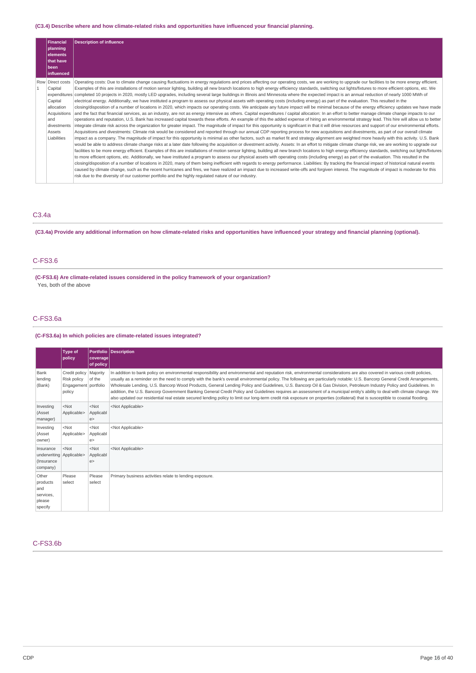### **(C3.4) Describe where and how climate-related risks and opportunities have influenced your financial planning.**

|              | <b>Financial</b><br>planning<br>elements<br><b>Ithat have</b><br>l been                             | <b>Description of influence</b>                                                                                                                                                                                                                                                                                                                                                                                                                                                                                                                                                                                                                                                                                                                                                                                                                                                                                                                                                                                                                                                                                                                                                                                                                                                                                                                                                                                                                                                                                                                                                                                                                                                                                                                                                                                                                                                                                                                                                                                                                                                                                                                                                                                                                                                                                                                                                                                                                                                                                                                                                                                                                                                                                                                                                                                                                                                                                                                                                                                                                                                                                                                                                            |
|--------------|-----------------------------------------------------------------------------------------------------|--------------------------------------------------------------------------------------------------------------------------------------------------------------------------------------------------------------------------------------------------------------------------------------------------------------------------------------------------------------------------------------------------------------------------------------------------------------------------------------------------------------------------------------------------------------------------------------------------------------------------------------------------------------------------------------------------------------------------------------------------------------------------------------------------------------------------------------------------------------------------------------------------------------------------------------------------------------------------------------------------------------------------------------------------------------------------------------------------------------------------------------------------------------------------------------------------------------------------------------------------------------------------------------------------------------------------------------------------------------------------------------------------------------------------------------------------------------------------------------------------------------------------------------------------------------------------------------------------------------------------------------------------------------------------------------------------------------------------------------------------------------------------------------------------------------------------------------------------------------------------------------------------------------------------------------------------------------------------------------------------------------------------------------------------------------------------------------------------------------------------------------------------------------------------------------------------------------------------------------------------------------------------------------------------------------------------------------------------------------------------------------------------------------------------------------------------------------------------------------------------------------------------------------------------------------------------------------------------------------------------------------------------------------------------------------------------------------------------------------------------------------------------------------------------------------------------------------------------------------------------------------------------------------------------------------------------------------------------------------------------------------------------------------------------------------------------------------------------------------------------------------------------------------------------------------------|
|              | <b>linfluenced</b>                                                                                  |                                                                                                                                                                                                                                                                                                                                                                                                                                                                                                                                                                                                                                                                                                                                                                                                                                                                                                                                                                                                                                                                                                                                                                                                                                                                                                                                                                                                                                                                                                                                                                                                                                                                                                                                                                                                                                                                                                                                                                                                                                                                                                                                                                                                                                                                                                                                                                                                                                                                                                                                                                                                                                                                                                                                                                                                                                                                                                                                                                                                                                                                                                                                                                                            |
| $\mathbf{1}$ | Row Direct costs<br>Capital<br>Capital<br>allocation<br>and<br>divestments<br>Assets<br>Liabilities | Operating costs: Due to climate change causing fluctuations in energy regulations and prices affecting our operating costs, we are working to upgrade our facilities to be more energy efficient.<br>Examples of this are installations of motion sensor lighting, building all new branch locations to high energy efficiency standards, switching out lights/fixtures to more efficient options, etc. We<br>expenditures completed 10 projects in 2020, mostly LED upgrades, including several large buildings in Illinois and Minnesota where the expected impact is an annual reduction of nearly 1000 MWh of<br>electrical energy. Additionally, we have instituted a program to assess our physical assets with operating costs (including energy) as part of the evaluation. This resulted in the<br>closing/disposition of a number of locations in 2020, which impacts our operating costs. We anticipate any future impact will be minimal because of the energy efficiency updates we have made<br>Acquisitions and the fact that financial services, as an industry, are not as energy intensive as others. Capital expenditures / capital allocation: In an effort to better manage climate change impacts to our<br>operations and reputation, U.S. Bank has increased capital towards these efforts. An example of this the added expense of hiring an environmental strategy lead. This hire will allow us to better<br>integrate climate risk across the organization for greater impact. The magnitude of impact for this opportunity is significant in that it will drive resources and support of our environmental efforts.<br>Acquisitions and divestments: Climate risk would be considered and reported through our annual CDP reporting process for new acquisitions and divestments, as part of our overall climate<br>impact as a company. The magnitude of impact for this opportunity is minimal as other factors, such as market fit and strategy alignment are weighted more heavily with this activity. U.S. Bank<br>would be able to address climate change risks at a later date following the acquisition or divestment activity. Assets: In an effort to mitigate climate change risk, we are working to upgrade our<br>facilities to be more energy efficient. Examples of this are installations of motion sensor lighting, building all new branch locations to high energy efficiency standards, switching out lights/fixtures<br>to more efficient options, etc. Additionally, we have instituted a program to assess our physical assets with operating costs (including energy) as part of the evaluation. This resulted in the<br>closing/disposition of a number of locations in 2020, many of them being inefficient with regards to energy performance. Liabilities: By tracking the financial impact of historical natural events<br>caused by climate change, such as the recent hurricanes and fires, we have realized an impact due to increased write-offs and forgiven interest. The magnitude of impact is moderate for this<br>risk due to the diversity of our customer portfolio and the highly regulated nature of our industry. |

## C3.4a

## (C3.4a) Provide any additional information on how climate-related risks and opportunities have influenced your strategy and financial planning (optional).

### C-FS3.6

**(C-FS3.6) Are climate-related issues considered in the policy framework of your organization?** Yes, both of the above

### C-FS3.6a

## **(C-FS3.6a) In which policies are climate-related issues integrated?**

|                                                                 | Type of<br>policy                                                         | coverage <br>of policy      | <b>Portfolio Description</b>                                                                                                                                                                                                                                                                                                                                                                                                                                                                                                                                                                                                                                                                                                                                                                                                                                                                      |
|-----------------------------------------------------------------|---------------------------------------------------------------------------|-----------------------------|---------------------------------------------------------------------------------------------------------------------------------------------------------------------------------------------------------------------------------------------------------------------------------------------------------------------------------------------------------------------------------------------------------------------------------------------------------------------------------------------------------------------------------------------------------------------------------------------------------------------------------------------------------------------------------------------------------------------------------------------------------------------------------------------------------------------------------------------------------------------------------------------------|
| Bank<br>lending<br>(Bank)                                       | Credit policy   Majority<br>Risk policy<br>Engagement portfolio<br>policy | of the                      | In addition to bank policy on environmental responsibility and environmental and reputation risk, environmental considerations are also covered in various credit policies,<br>usually as a reminder on the need to comply with the bank's overall environmental policy. The following are particularly notable: U.S. Bancorp General Credit Arrangements,<br>Wholesale Lending, U.S. Bancorp Wood Products, General Lending Policy and Guidelines, U.S. Bancorp Oil & Gas Division, Petroleum Industry Policy and Guidelines. In<br>addition, the U.S. Bancorp Government Banking General Credit Policy and Guidelines requires an assessment of a municipal entity's ability to deal with climate change. We<br>also updated our residential real estate secured lending policy to limit our long-term credit risk exposure on properties (collateral) that is susceptible to coastal flooding. |
| Investing<br>(Asset<br>manager)                                 | $<$ Not<br>Applicable>                                                    | $<$ Not<br>Applicabl<br>e   | <not applicable=""></not>                                                                                                                                                                                                                                                                                                                                                                                                                                                                                                                                                                                                                                                                                                                                                                                                                                                                         |
| Investing<br>(Asset<br>owner)                                   | <not<br>Applicable&gt;</not<br>                                           | $<$ Not<br>Applicabl<br>le> | <not applicable=""></not>                                                                                                                                                                                                                                                                                                                                                                                                                                                                                                                                                                                                                                                                                                                                                                                                                                                                         |
| Insurance<br>underwriting Applicable><br>(Insurance<br>company) | $<$ Not                                                                   | $<$ Not<br>Applicabl<br>e   | <not applicable=""></not>                                                                                                                                                                                                                                                                                                                                                                                                                                                                                                                                                                                                                                                                                                                                                                                                                                                                         |
| Other<br>products<br>and<br>services,<br>please<br>specify      | Please<br>select                                                          | Please<br>select            | Primary business activities relate to lending exposure.                                                                                                                                                                                                                                                                                                                                                                                                                                                                                                                                                                                                                                                                                                                                                                                                                                           |

### C-FS3.6b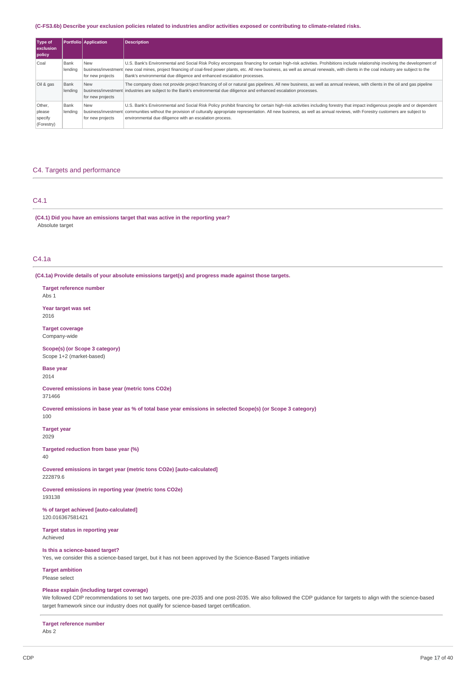#### (C-FS3.6b) Describe your exclusion policies related to industries and/or activities exposed or contributing to climate-related risks.

| Type of<br><b>exclusion</b><br>policy     |                 | Portfolio Application          | <b>Description</b>                                                                                                                                                                                                                                                                                                                                                                                                                          |
|-------------------------------------------|-----------------|--------------------------------|---------------------------------------------------------------------------------------------------------------------------------------------------------------------------------------------------------------------------------------------------------------------------------------------------------------------------------------------------------------------------------------------------------------------------------------------|
| Coal                                      | Bank<br>lending | New<br>for new projects        | U.S. Bank's Environmental and Social Risk Policy encompass financing for certain high-risk activities. Prohibitions include relationship involving the development of<br>business/investment new coal mines, project financing of coal-fired power plants, etc. All new business, as well as annual renewals, with clients in the coal industry are subject to the<br>Bank's environmental due diligence and enhanced escalation processes. |
| Oil & gas                                 | Bank<br>lending | <b>New</b><br>for new projects | The company does not provide project financing of oil or natural gas pipelines. All new business, as well as annual reviews, with clients in the oil and gas pipeline<br>business/investment industries are subject to the Bank's environmental due diligence and enhanced escalation processes.                                                                                                                                            |
| Other,<br>please<br>specify<br>(Forestry) | Bank<br>lending | New<br>for new projects        | U.S. Bank's Environmental and Social Risk Policy prohibit financing for certain high-risk activities including forestry that impact indigenous people and or dependent<br>business/investment communities without the provision of culturally appropriate representation. All new business, as well as annual reviews, with Forestry customers are subject to<br>environmental due diligence with an escalation process.                    |

### C4. Targets and performance

## C4.1

**(C4.1) Did you have an emissions target that was active in the reporting year?** Absolute target

## C4.1a

**(C4.1a) Provide details of your absolute emissions target(s) and progress made against those targets.**

#### **Target reference number**

Abs 1

#### **Year target was set** 2016

**Target coverage**

## Company-wide

**Scope(s) (or Scope 3 category)** Scope 1+2 (market-based)

#### **Base year** 2014

**Covered emissions in base year (metric tons CO2e)**

## 371466

Covered emissions in base year as % of total base year emissions in selected Scope(s) (or Scope 3 category) 100

### **Target year**

2029

#### **Targeted reduction from base year (%)** 40

**Covered emissions in target year (metric tons CO2e) [auto-calculated]** 222879.6

**Covered emissions in reporting year (metric tons CO2e)** 193138

#### **% of target achieved [auto-calculated]** 120.016367581421

**Target status in reporting year** Achieved

### **Is this a science-based target?**

Yes, we consider this a science-based target, but it has not been approved by the Science-Based Targets initiative

## **Target ambition**

Please select

### **Please explain (including target coverage)**

We followed CDP recommendations to set two targets, one pre-2035 and one post-2035. We also followed the CDP guidance for targets to align with the science-based target framework since our industry does not qualify for science-based target certification.

#### **Target reference number** Abs 2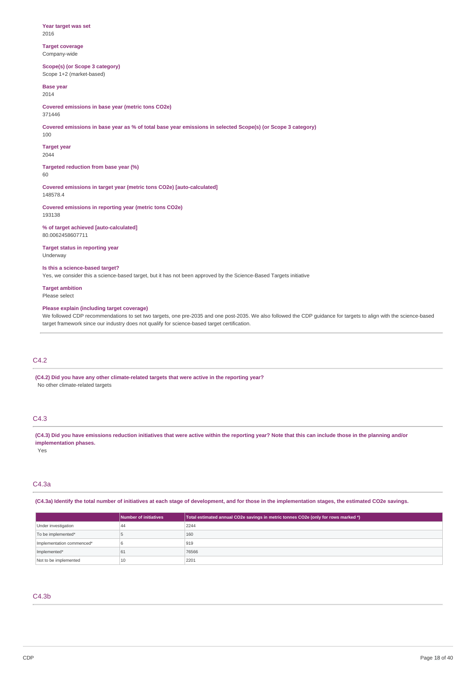**Year target was set** 2016

**Target coverage** Company-wide

**Scope(s) (or Scope 3 category)** Scope 1+2 (market-based)

**Base year** 2014

**Covered emissions in base year (metric tons CO2e)** 371446

Covered emissions in base year as % of total base year emissions in selected Scope(s) (or Scope 3 category) 100

**Target year** 2044

**Targeted reduction from base year (%)** 60

**Covered emissions in target year (metric tons CO2e) [auto-calculated]** 148578.4

**Covered emissions in reporting year (metric tons CO2e)** 193138

**% of target achieved [auto-calculated]** 80.0062458607711

**Target status in reporting year** Underway

## **Is this a science-based target?**

Yes, we consider this a science-based target, but it has not been approved by the Science-Based Targets initiative

**Target ambition** Please select

### **Please explain (including target coverage)**

We followed CDP recommendations to set two targets, one pre-2035 and one post-2035. We also followed the CDP guidance for targets to align with the science-based target framework since our industry does not qualify for science-based target certification.

### C4.2

**(C4.2) Did you have any other climate-related targets that were active in the reporting year?** No other climate-related targets

## C4.3

(C4.3) Did you have emissions reduction initiatives that were active within the reporting year? Note that this can include those in the planning and/or **implementation phases.**

Yes

## C4.3a

(C4.3a) Identify the total number of initiatives at each stage of development, and for those in the implementation stages, the estimated CO2e savings.

|                           | Number of initiatives | Total estimated annual CO2e savings in metric tonnes CO2e (only for rows marked *) |
|---------------------------|-----------------------|------------------------------------------------------------------------------------|
| Under investigation       | 44                    | 2244                                                                               |
| To be implemented*        |                       | 160                                                                                |
| Implementation commenced* |                       | 919                                                                                |
| Implemented*              | 61                    | 76566                                                                              |
| Not to be implemented     | 10                    | 2201                                                                               |

#### C4.3b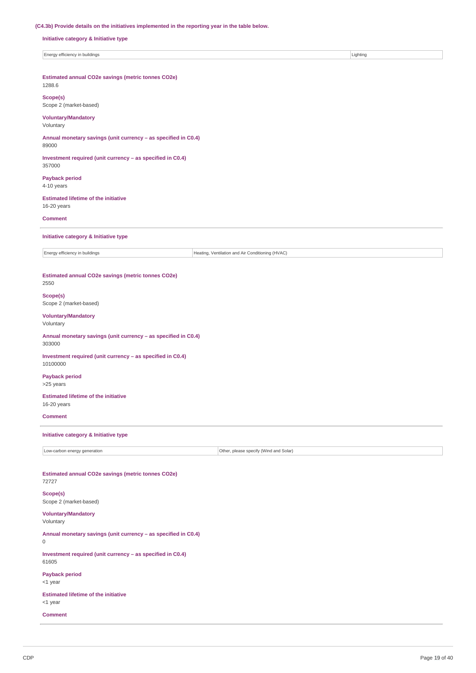### **(C4.3b) Provide details on the initiatives implemented in the reporting year in the table below.**

**Initiative category & Initiative type**

Energy efficiency in buildings **Lighting** Lighting **Lighting** 

**Estimated annual CO2e savings (metric tonnes CO2e)**

## 1288.6

**Scope(s)** Scope 2 (market-based)

### **Voluntary/Mandatory**

Voluntary

**Annual monetary savings (unit currency – as specified in C0.4)** 89000

**Investment required (unit currency – as specified in C0.4)** 357000

**Payback period** 4-10 years

**Estimated lifetime of the initiative** 16-20 years

**Comment**

**Initiative category & Initiative type**

Energy efficiency in buildings  $\vert$  Energy efficiency in buildings

#### **Estimated annual CO2e savings (metric tonnes CO2e)** 2550

**Scope(s)**

Scope 2 (market-based)

#### **Voluntary/Mandatory**

Voluntary

**Annual monetary savings (unit currency – as specified in C0.4)** 303000

**Investment required (unit currency – as specified in C0.4)** 10100000

**Payback period** >25 years

**Estimated lifetime of the initiative** 16-20 years

**Comment**

### **Initiative category & Initiative type**

Low-carbon energy generation **Contract Contract Contract Contract Contract Contract Contract Contract Contract Contract Contract Contract Contract Contract Contract Contract Contract Contract Contract Contract Contract Con** 

**Estimated annual CO2e savings (metric tonnes CO2e)** 72727

**Scope(s)** Scope 2 (market-based)

**Voluntary/Mandatory** Voluntary

**Annual monetary savings (unit currency – as specified in C0.4)**  $\Omega$ 

**Investment required (unit currency – as specified in C0.4)** 61605

**Payback period** <1 year

**Estimated lifetime of the initiative** <1 year

**Comment**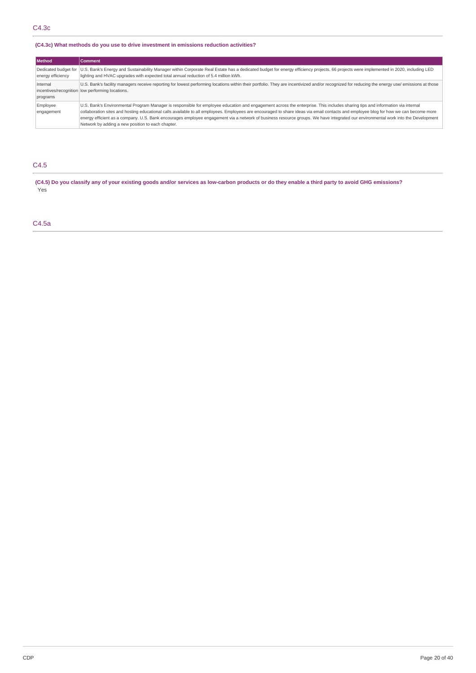### **(C4.3c) What methods do you use to drive investment in emissions reduction activities?**

| <b>Method</b>          | <b>Comment</b>                                                                                                                                                                                                                                                                                                                                                                                                                                                                                                                                                                                                   |
|------------------------|------------------------------------------------------------------------------------------------------------------------------------------------------------------------------------------------------------------------------------------------------------------------------------------------------------------------------------------------------------------------------------------------------------------------------------------------------------------------------------------------------------------------------------------------------------------------------------------------------------------|
| energy efficiency      | Dedicated budget for  U.S. Bank's Energy and Sustainability Manager within Corporate Real Estate has a dedicated budget for energy efficiency projects. 66 projects were implemented in 2020, including LED<br>lighting and HVAC upgrades with expected total annual reduction of 5.4 million kWh.                                                                                                                                                                                                                                                                                                               |
| Internal<br>programs   | U.S. Bank's facility managers receive reporting for lowest performing locations within their portfolio. They are incentivized and/or recognized for reducing the energy use/ emissions at those<br>incentives/recognition low performing locations.                                                                                                                                                                                                                                                                                                                                                              |
| Employee<br>engagement | U.S. Bank's Environmental Program Manager is responsible for employee education and engagement across the enterprise. This includes sharing tips and information via internal<br>collaboration sites and hosting educational calls available to all employees. Employees are encouraged to share ideas via email contacts and employee blog for how we can become more<br>energy efficient as a company. U.S. Bank encourages employee engagement via a network of business resource groups. We have integrated our environmental work into the Development<br>Network by adding a new position to each chapter. |

## C4.5

(C4.5) Do you classify any of your existing goods and/or services as low-carbon products or do they enable a third party to avoid GHG emissions? Yes

## C4.5a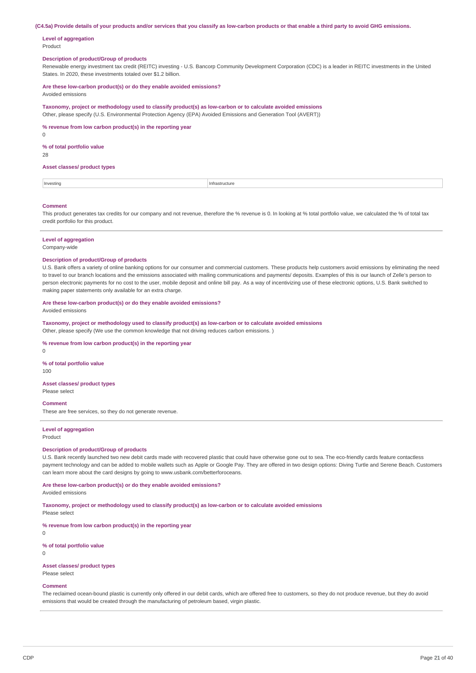(C4.5a) Provide details of your products and/or services that you classify as low-carbon products or that enable a third party to avoid GHG emissions.

**Level of aggregation** Product

### **Description of product/Group of products**

Renewable energy investment tax credit (REITC) investing - U.S. Bancorp Community Development Corporation (CDC) is a leader in REITC investments in the United States. In 2020, these investments totaled over \$1.2 billion.

**Are these low-carbon product(s) or do they enable avoided emissions?** Avoided emissions

**Taxonomy, project or methodology used to classify product(s) as low-carbon or to calculate avoided emissions** Other, please specify (U.S. Environmental Protection Agency (EPA) Avoided Emissions and Generation Tool (AVERT))

**% revenue from low carbon product(s) in the reporting year**

0

#### **% of total portfolio value**

28

#### **Asset classes/ product types**

| Investing | Infrastructure |
|-----------|----------------|
|           |                |

#### **Comment**

This product generates tax credits for our company and not revenue, therefore the % revenue is 0. In looking at % total portfolio value, we calculated the % of total tax credit portfolio for this product.

### **Level of aggregation**

Company-wide

#### **Description of product/Group of products**

U.S. Bank offers a variety of online banking options for our consumer and commercial customers. These products help customers avoid emissions by eliminating the need to travel to our branch locations and the emissions associated with mailing communications and payments/ deposits. Examples of this is our launch of Zelle's person to person electronic payments for no cost to the user, mobile deposit and online bill pay. As a way of incentivizing use of these electronic options, U.S. Bank switched to making paper statements only available for an extra charge.

#### **Are these low-carbon product(s) or do they enable avoided emissions?**

Avoided emissions

**Taxonomy, project or methodology used to classify product(s) as low-carbon or to calculate avoided emissions**

Other, please specify (We use the common knowledge that not driving reduces carbon emissions. )

### **% revenue from low carbon product(s) in the reporting year**

 $\Omega$ 

## **% of total portfolio value**

100

### **Asset classes/ product types**

Please select

### **Comment**

These are free services, so they do not generate revenue.

#### **Level of aggregation**

Product

#### **Description of product/Group of products**

U.S. Bank recently launched two new debit cards made with recovered plastic that could have otherwise gone out to sea. The eco-friendly cards feature contactless payment technology and can be added to mobile wallets such as Apple or Google Pay. They are offered in two design options: Diving Turtle and Serene Beach. Customers can learn more about the card designs by going to www.usbank.com/betterforoceans.

#### **Are these low-carbon product(s) or do they enable avoided emissions?**

Avoided emissions

**Taxonomy, project or methodology used to classify product(s) as low-carbon or to calculate avoided emissions**

Please select

**% revenue from low carbon product(s) in the reporting year**

**% of total portfolio value** 0

 $\Omega$ 

**Asset classes/ product types** Please select

### **Comment**

The reclaimed ocean-bound plastic is currently only offered in our debit cards, which are offered free to customers, so they do not produce revenue, but they do avoid emissions that would be created through the manufacturing of petroleum based, virgin plastic.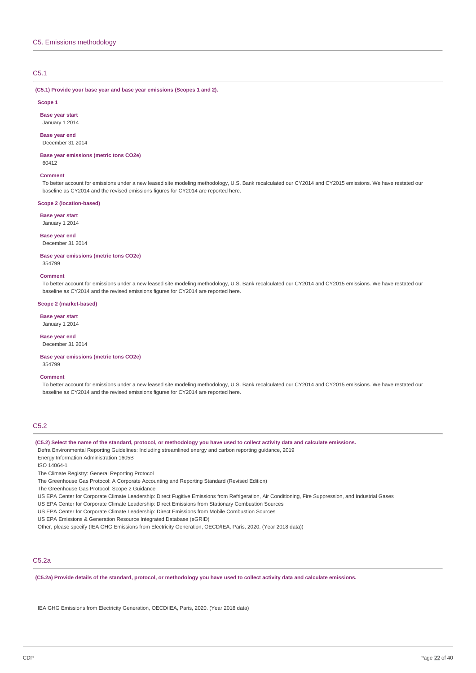### C5.1

**(C5.1) Provide your base year and base year emissions (Scopes 1 and 2).**

#### **Scope 1**

**Base year start** January 1 2014

**Base year end**

December 31 2014

**Base year emissions (metric tons CO2e)** 60412

#### **Comment**

To better account for emissions under a new leased site modeling methodology, U.S. Bank recalculated our CY2014 and CY2015 emissions. We have restated our baseline as CY2014 and the revised emissions figures for CY2014 are reported here.

#### **Scope 2 (location-based)**

**Base year start**

January 1 2014

**Base year end** December 31 2014

**Base year emissions (metric tons CO2e)**

## 354799 **Comment**

To better account for emissions under a new leased site modeling methodology, U.S. Bank recalculated our CY2014 and CY2015 emissions. We have restated our baseline as CY2014 and the revised emissions figures for CY2014 are reported here.

#### **Scope 2 (market-based)**

**Base year start**

January 1 2014

**Base year end**

December 31 2014

**Base year emissions (metric tons CO2e)** 354799

#### **Comment**

To better account for emissions under a new leased site modeling methodology, U.S. Bank recalculated our CY2014 and CY2015 emissions. We have restated our baseline as CY2014 and the revised emissions figures for CY2014 are reported here.

## C5.2

(C5.2) Select the name of the standard, protocol, or methodology you have used to collect activity data and calculate emissions.

Defra Environmental Reporting Guidelines: Including streamlined energy and carbon reporting guidance, 2019

Energy Information Administration 1605B

ISO 14064-1

The Climate Registry: General Reporting Protocol

The Greenhouse Gas Protocol: A Corporate Accounting and Reporting Standard (Revised Edition)

The Greenhouse Gas Protocol: Scope 2 Guidance

US EPA Center for Corporate Climate Leadership: Direct Fugitive Emissions from Refrigeration, Air Conditioning, Fire Suppression, and Industrial Gases

US EPA Center for Corporate Climate Leadership: Direct Emissions from Stationary Combustion Sources

US EPA Center for Corporate Climate Leadership: Direct Emissions from Mobile Combustion Sources

US EPA Emissions & Generation Resource Integrated Database (eGRID)

Other, please specify (IEA GHG Emissions from Electricity Generation, OECD/IEA, Paris, 2020. (Year 2018 data))

### C5.2a

(C5.2a) Provide details of the standard, protocol, or methodology you have used to collect activity data and calculate emissions.

IEA GHG Emissions from Electricity Generation, OECD/IEA, Paris, 2020. (Year 2018 data)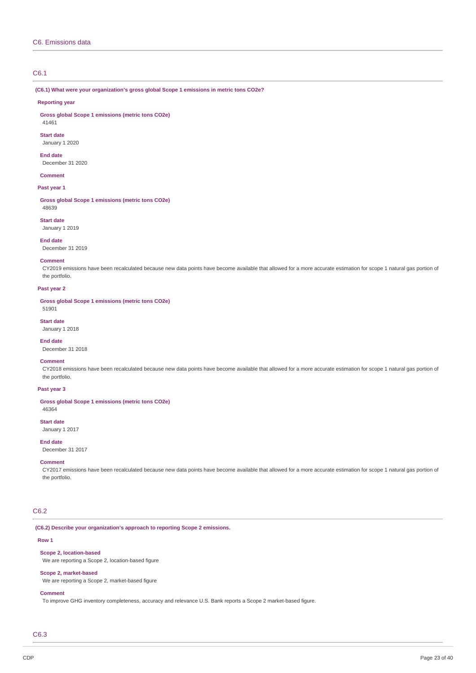### C6.1

**(C6.1) What were your organization's gross global Scope 1 emissions in metric tons CO2e?**

#### **Reporting year**

**Gross global Scope 1 emissions (metric tons CO2e)**

## 41461 **Start date**

January 1 2020

#### **End date**

December 31 2020

### **Comment**

### **Past year 1**

**Gross global Scope 1 emissions (metric tons CO2e)** 48639

#### **Start date** January 1 2019

**End date**

### December 31 2019

### **Comment**

CY2019 emissions have been recalculated because new data points have become available that allowed for a more accurate estimation for scope 1 natural gas portion of the portfolio.

#### **Past year 2**

**Gross global Scope 1 emissions (metric tons CO2e)** 51901

**Start date**

## January 1 2018

**End date**

December 31 2018

## **Comment**

CY2018 emissions have been recalculated because new data points have become available that allowed for a more accurate estimation for scope 1 natural gas portion of the portfolio.

### **Past year 3**

**Gross global Scope 1 emissions (metric tons CO2e)**

46364

**Start date** January 1 2017

## **End date**

December 31 2017

### **Comment**

CY2017 emissions have been recalculated because new data points have become available that allowed for a more accurate estimation for scope 1 natural gas portion of the portfolio.

### C6.2

#### **(C6.2) Describe your organization's approach to reporting Scope 2 emissions.**

### **Row 1**

#### **Scope 2, location-based**

We are reporting a Scope 2, location-based figure

### **Scope 2, market-based**

We are reporting a Scope 2, market-based figure

#### **Comment**

To improve GHG inventory completeness, accuracy and relevance U.S. Bank reports a Scope 2 market-based figure.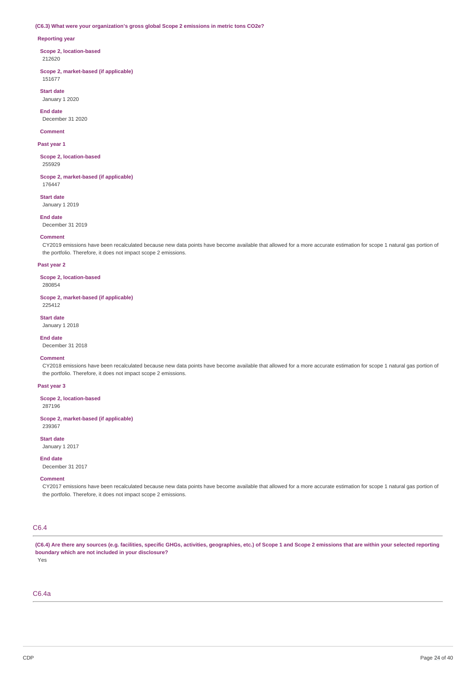#### **(C6.3) What were your organization's gross global Scope 2 emissions in metric tons CO2e?**

#### **Reporting year**

**Scope 2, location-based** 212620

**Scope 2, market-based (if applicable)** 151677

**Start date** January 1 2020

**End date** December 31 2020

#### **Comment**

**Past year 1**

**Scope 2, location-based** 255929

**Scope 2, market-based (if applicable)** 176447

**Start date** January 1 2019

**End date** December 31 2019

#### **Comment**

CY2019 emissions have been recalculated because new data points have become available that allowed for a more accurate estimation for scope 1 natural gas portion of the portfolio. Therefore, it does not impact scope 2 emissions.

#### **Past year 2**

**Scope 2, location-based** 280854

**Scope 2, market-based (if applicable)** 225412

**Start date**

January 1 2018

**End date**

December 31 2018

### **Comment**

CY2018 emissions have been recalculated because new data points have become available that allowed for a more accurate estimation for scope 1 natural gas portion of the portfolio. Therefore, it does not impact scope 2 emissions.

### **Past year 3**

**Scope 2, location-based**

287196

**Scope 2, market-based (if applicable)** 239367

**Start date**

January 1 2017

**End date**

December 31 2017

### **Comment**

CY2017 emissions have been recalculated because new data points have become available that allowed for a more accurate estimation for scope 1 natural gas portion of the portfolio. Therefore, it does not impact scope 2 emissions.

### C6.4

(C6.4) Are there any sources (e.g. facilities, specific GHGs, activities, geographies, etc.) of Scope 1 and Scope 2 emissions that are within your selected reporting **boundary which are not included in your disclosure?**

Yes

C6.4a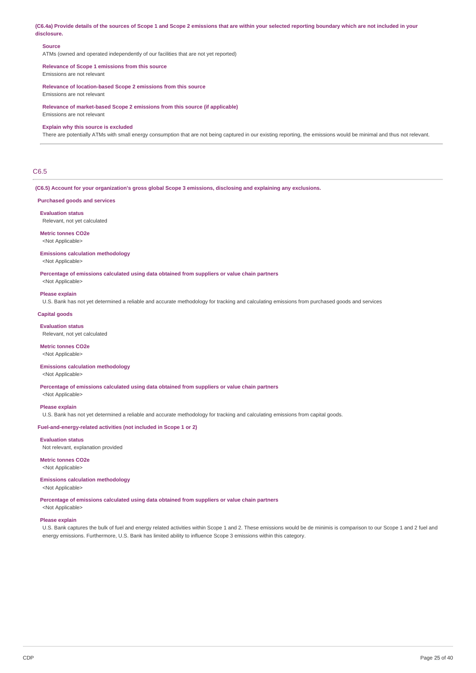(C6.4a) Provide details of the sources of Scope 1 and Scope 2 emissions that are within your selected reporting boundary which are not included in your **disclosure.**

#### **Source**

ATMs (owned and operated independently of our facilities that are not yet reported)

# **Relevance of Scope 1 emissions from this source**

Emissions are not relevant

**Relevance of location-based Scope 2 emissions from this source** Emissions are not relevant

**Relevance of market-based Scope 2 emissions from this source (if applicable)** Emissions are not relevant

#### **Explain why this source is excluded**

There are potentially ATMs with small energy consumption that are not being captured in our existing reporting, the emissions would be minimal and thus not relevant.

### C6.5

**(C6.5) Account for your organization's gross global Scope 3 emissions, disclosing and explaining any exclusions.**

#### **Purchased goods and services**

**Evaluation status**

Relevant, not yet calculated

#### **Metric tonnes CO2e** <Not Applicable>

#### **Emissions calculation methodology** <Not Applicable>

**Percentage of emissions calculated using data obtained from suppliers or value chain partners**

<Not Applicable>

### **Please explain**

U.S. Bank has not yet determined a reliable and accurate methodology for tracking and calculating emissions from purchased goods and services

### **Capital goods**

**Evaluation status** Relevant, not yet calculated

### **Metric tonnes CO2e**

<Not Applicable>

## **Emissions calculation methodology**

<Not Applicable>

**Percentage of emissions calculated using data obtained from suppliers or value chain partners**

<Not Applicable>

### **Please explain**

U.S. Bank has not yet determined a reliable and accurate methodology for tracking and calculating emissions from capital goods.

### **Fuel-and-energy-related activities (not included in Scope 1 or 2)**

**Evaluation status**

Not relevant, explanation provided

#### **Metric tonnes CO2e** <Not Applicable>

## **Emissions calculation methodology**

<Not Applicable>

**Percentage of emissions calculated using data obtained from suppliers or value chain partners**

<Not Applicable>

### **Please explain**

U.S. Bank captures the bulk of fuel and energy related activities within Scope 1 and 2. These emissions would be de minimis is comparison to our Scope 1 and 2 fuel and energy emissions. Furthermore, U.S. Bank has limited ability to influence Scope 3 emissions within this category.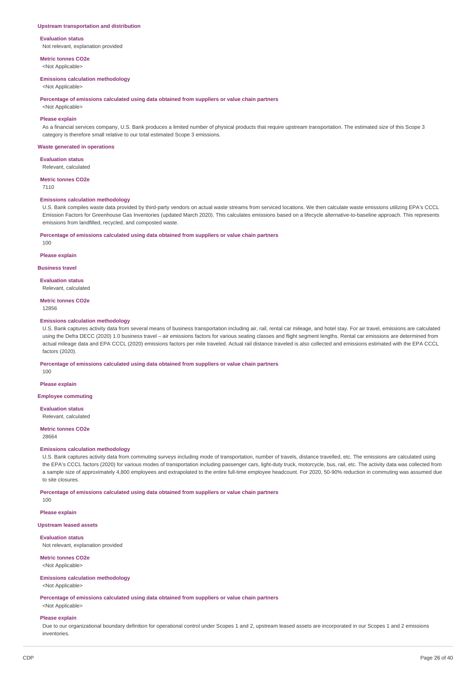#### **Upstream transportation and distribution**

**Evaluation status** Not relevant, explanation provided

**Metric tonnes CO2e**

<Not Applicable>

### **Emissions calculation methodology**

<Not Applicable>

**Percentage of emissions calculated using data obtained from suppliers or value chain partners**

<Not Applicable>

### **Please explain**

As a financial services company, U.S. Bank produces a limited number of physical products that require upstream transportation. The estimated size of this Scope 3 category is therefore small relative to our total estimated Scope 3 emissions.

#### **Waste generated in operations**

**Evaluation status**

Relevant, calculated

**Metric tonnes CO2e**

7110

#### **Emissions calculation methodology**

U.S. Bank compiles waste data provided by third-party vendors on actual waste streams from serviced locations. We then calculate waste emissions utilizing EPA's CCCL Emission Factors for Greenhouse Gas Inventories (updated March 2020). This calculates emissions based on a lifecycle alternative-to-baseline approach. This represents emissions from landfilled, recycled, and composted waste.

#### **Percentage of emissions calculated using data obtained from suppliers or value chain partners**

100

#### **Please explain**

**Business travel**

#### **Evaluation status**

Relevant, calculated

## **Metric tonnes CO2e**

12856

#### **Emissions calculation methodology**

U.S. Bank captures activity data from several means of business transportation including air, rail, rental car mileage, and hotel stay. For air travel, emissions are calculated using the Defra DECC (2020) 1.0 business travel – air emissions factors for various seating classes and flight segment lengths. Rental car emissions are determined from actual mileage data and EPA CCCL (2020) emissions factors per mile traveled. Actual rail distance traveled is also collected and emissions estimated with the EPA CCCL factors (2020).

**Percentage of emissions calculated using data obtained from suppliers or value chain partners**

100

## **Please explain**

**Employee commuting**

#### **Evaluation status**

Relevant, calculated

### **Metric tonnes CO2e**

28664

#### **Emissions calculation methodology**

U.S. Bank captures activity data from commuting surveys including mode of transportation, number of travels, distance travelled, etc. The emissions are calculated using the EPA's CCCL factors (2020) for various modes of transportation including passenger cars, light-duty truck, motorcycle, bus, rail, etc. The activity data was collected from a sample size of approximately 4,800 employees and extrapolated to the entire full-time employee headcount. For 2020, 50-90% reduction in commuting was assumed due to site closures.

**Percentage of emissions calculated using data obtained from suppliers or value chain partners**

100

### **Please explain**

### **Upstream leased assets**

**Evaluation status** Not relevant, explanation provided

**Metric tonnes CO2e**

## <Not Applicable>

## **Emissions calculation methodology**

<Not Applicable>

**Percentage of emissions calculated using data obtained from suppliers or value chain partners** <Not Applicable>

#### **Please explain**

Due to our organizational boundary definition for operational control under Scopes 1 and 2, upstream leased assets are incorporated in our Scopes 1 and 2 emissions inventories.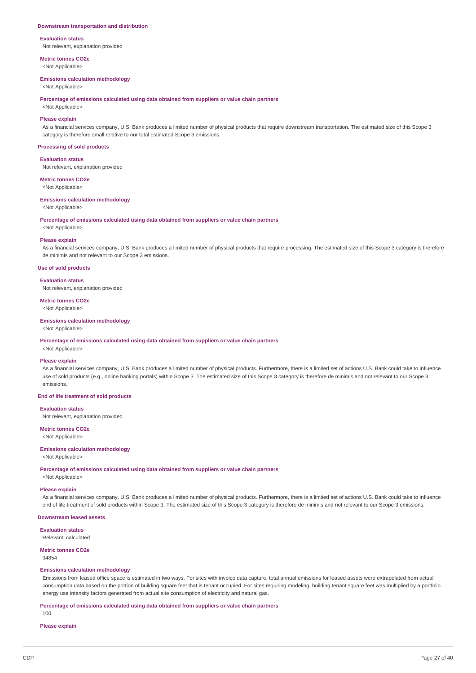#### **Downstream transportation and distribution**

**Evaluation status** Not relevant, explanation provided

**Metric tonnes CO2e**

<Not Applicable>

### **Emissions calculation methodology**

<Not Applicable>

**Percentage of emissions calculated using data obtained from suppliers or value chain partners**

## <Not Applicable> **Please explain**

As a financial services company, U.S. Bank produces a limited number of physical products that require downstream transportation. The estimated size of this Scope 3 category is therefore small relative to our total estimated Scope 3 emissions.

#### **Processing of sold products**

**Evaluation status**

Not relevant, explanation provided

**Metric tonnes CO2e**

<Not Applicable>

### **Emissions calculation methodology**

<Not Applicable>

**Percentage of emissions calculated using data obtained from suppliers or value chain partners**

<Not Applicable>

#### **Please explain**

As a financial services company, U.S. Bank produces a limited number of physical products that require processing. The estimated size of this Scope 3 category is therefore de minimis and not relevant to our Scope 3 emissions.

#### **Use of sold products**

#### **Evaluation status**

Not relevant, explanation provided

## **Metric tonnes CO2e**

<Not Applicable>

### **Emissions calculation methodology**

<Not Applicable>

#### **Percentage of emissions calculated using data obtained from suppliers or value chain partners**

## <Not Applicable>

### **Please explain**

As a financial services company, U.S. Bank produces a limited number of physical products. Furthermore, there is a limited set of actions U.S. Bank could take to influence use of sold products (e.g., online banking portals) within Scope 3. The estimated size of this Scope 3 category is therefore de minimis and not relevant to our Scope 3 emissions.

### **End of life treatment of sold products**

#### **Evaluation status**

Not relevant, explanation provided

### **Metric tonnes CO2e**

<Not Applicable>

### **Emissions calculation methodology**

<Not Applicable>

**Percentage of emissions calculated using data obtained from suppliers or value chain partners**

<Not Applicable>

### **Please explain**

As a financial services company, U.S. Bank produces a limited number of physical products. Furthermore, there is a limited set of actions U.S. Bank could take to influence end of life treatment of sold products within Scope 3. The estimated size of this Scope 3 category is therefore de minimis and not relevant to our Scope 3 emissions.

#### **Downstream leased assets**

**Evaluation status** Relevant, calculated

### **Metric tonnes CO2e**

34854

#### **Emissions calculation methodology**

Emissions from leased office space is estimated in two ways. For sites with invoice data capture, total annual emissions for leased assets were extrapolated from actual consumption data based on the portion of building square feet that is tenant occupied. For sites requiring modeling, building tenant square feet was multiplied by a portfolio energy use intensity factors generated from actual site consumption of electricity and natural gas.

#### **Percentage of emissions calculated using data obtained from suppliers or value chain partners**

100

### **Please explain**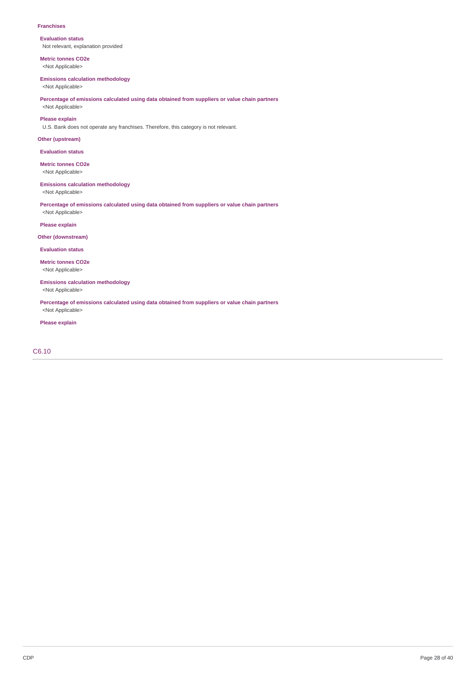#### **Franchises**

**Evaluation status** Not relevant, explanation provided

**Metric tonnes CO2e** <Not Applicable>

## **Emissions calculation methodology**

<Not Applicable>

### **Percentage of emissions calculated using data obtained from suppliers or value chain partners** <Not Applicable>

**Please explain**

U.S. Bank does not operate any franchises. Therefore, this category is not relevant.

## **Other (upstream)**

**Evaluation status**

### **Metric tonnes CO2e**

<Not Applicable>

### **Emissions calculation methodology**

<Not Applicable>

**Percentage of emissions calculated using data obtained from suppliers or value chain partners** <Not Applicable>

### **Please explain**

**Other (downstream)**

### **Evaluation status**

**Metric tonnes CO2e** <Not Applicable>

#### **Emissions calculation methodology** <Not Applicable>

**Percentage of emissions calculated using data obtained from suppliers or value chain partners** <Not Applicable>

### **Please explain**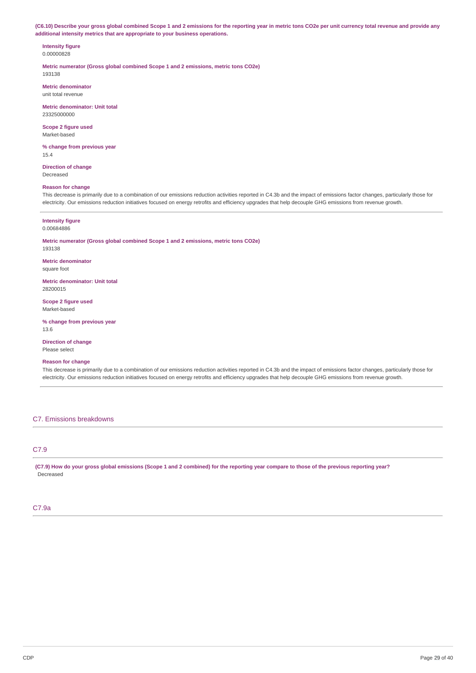(C6.10) Describe your gross global combined Scope 1 and 2 emissions for the reporting year in metric tons CO2e per unit currency total revenue and provide any **additional intensity metrics that are appropriate to your business operations.**

#### **Intensity figure** 0.00000828

**Metric numerator (Gross global combined Scope 1 and 2 emissions, metric tons CO2e)** 193138

**Metric denominator** unit total revenue

**Metric denominator: Unit total** 23325000000

**Scope 2 figure used** Market-based

**% change from previous year** 15.4

**Direction of change** Decreased

#### **Reason for change**

This decrease is primarily due to a combination of our emissions reduction activities reported in C4.3b and the impact of emissions factor changes, particularly those for electricity. Our emissions reduction initiatives focused on energy retrofits and efficiency upgrades that help decouple GHG emissions from revenue growth.

#### **Intensity figure**

0.00684886

**Metric numerator (Gross global combined Scope 1 and 2 emissions, metric tons CO2e)** 193138

**Metric denominator** square foot

**Metric denominator: Unit total**

28200015

**Scope 2 figure used** Market-based

**% change from previous year** 13.6

**Direction of change** Please select

### **Reason for change**

This decrease is primarily due to a combination of our emissions reduction activities reported in C4.3b and the impact of emissions factor changes, particularly those for electricity. Our emissions reduction initiatives focused on energy retrofits and efficiency upgrades that help decouple GHG emissions from revenue growth.

#### C7. Emissions breakdowns

## C7.9

(C7.9) How do your gross global emissions (Scope 1 and 2 combined) for the reporting year compare to those of the previous reporting year? Decreased

### C7.9a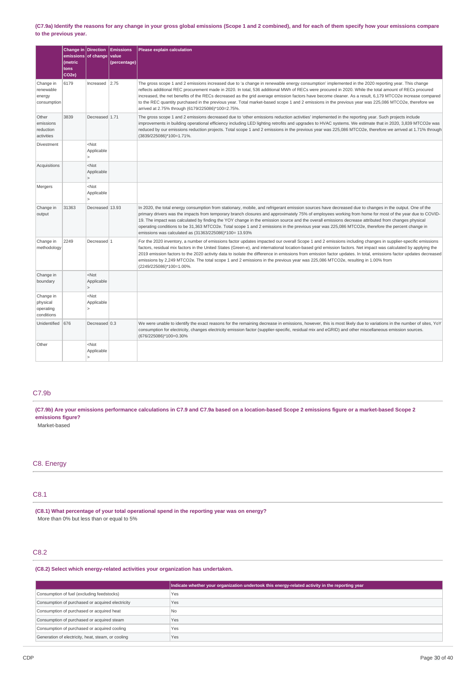#### (C7.9a) Identify the reasons for any change in your gross global emissions (Scope 1 and 2 combined), and for each of them specify how your emissions compare **to the previous year.**

|                                                  | Change in Direction<br>(metric<br>tons<br>CO <sub>2e</sub> ) | emissions of change                                     | <b>Emissions</b><br>value<br>(percentage) | Please explain calculation                                                                                                                                                                                                                                                                                                                                                                                                                                                                                                                                                                                                                                                            |
|--------------------------------------------------|--------------------------------------------------------------|---------------------------------------------------------|-------------------------------------------|---------------------------------------------------------------------------------------------------------------------------------------------------------------------------------------------------------------------------------------------------------------------------------------------------------------------------------------------------------------------------------------------------------------------------------------------------------------------------------------------------------------------------------------------------------------------------------------------------------------------------------------------------------------------------------------|
| Change in<br>renewable<br>energy<br>consumption  | 6179                                                         | Increased $\vert$ 2.75                                  |                                           | The gross scope 1 and 2 emissions increased due to 'a change in renewable energy consumption' implemented in the 2020 reporting year. This change<br>reflects additional REC procurement made in 2020. In total, 536 additional MWh of RECs were procured in 2020. While the total amount of RECs procured<br>increased, the net benefits of the RECs decreased as the grid average emission factors have become cleaner. As a result, 6,179 MTCO2e increase compared<br>to the REC quantity purchased in the previous year. Total market-based scope 1 and 2 emissions in the previous year was 225,086 MTCO2e, therefore we<br>arrived at 2.75% through (6179/225086)*100=2.75%.    |
| Other<br>emissions<br>reduction<br>activities    | 3839                                                         | Decreased 1.71                                          |                                           | The gross scope 1 and 2 emissions decreased due to 'other emissions reduction activities' implemented in the reporting year. Such projects include<br>improvements in building operational efficiency including LED lighting retrofits and upgrades to HVAC systems. We estimate that in 2020, 3,839 MTCO2e was<br>reduced by our emissions reduction projects. Total scope 1 and 2 emissions in the previous year was 225,086 MTCO2e, therefore we arrived at 1.71% through<br>(3839/225086)*100=1.71%.                                                                                                                                                                              |
| Divestment                                       |                                                              | <not<br>Applicable</not<br>                             |                                           |                                                                                                                                                                                                                                                                                                                                                                                                                                                                                                                                                                                                                                                                                       |
| Acquisitions                                     |                                                              | $<$ Not<br>Applicable                                   |                                           |                                                                                                                                                                                                                                                                                                                                                                                                                                                                                                                                                                                                                                                                                       |
| Mergers                                          |                                                              | <not<br>Applicable<br/><math>\mathbf{r}</math></not<br> |                                           |                                                                                                                                                                                                                                                                                                                                                                                                                                                                                                                                                                                                                                                                                       |
| Change in<br>output                              | 31363                                                        | Decreased 13.93                                         |                                           | In 2020, the total energy consumption from stationary, mobile, and refrigerant emission sources have decreased due to changes in the output. One of the<br>primary drivers was the impacts from temporary branch closures and approximately 75% of employees working from home for most of the year due to COVID-<br>19. The impact was calculated by finding the YOY change in the emission source and the overall emissions decrease attributed from changes physical<br>operating conditions to be 31,363 MTCO2e. Total scope 1 and 2 emissions in the previous year was 225,086 MTCO2e, therefore the percent change in<br>emissions was calculated as (31363/225086)*100= 13.93% |
| Change in<br>methodology                         | 2249                                                         | Decreased 1                                             |                                           | For the 2020 inventory, a number of emissions factor updates impacted our overall Scope 1 and 2 emissions including changes in supplier-specific emissions<br>factors, residual mix factors in the United States (Green-e), and international location-based grid emission factors. Net impact was calculated by applying the<br>2019 emission factors to the 2020 activity data to isolate the difference in emissions from emission factor updates. In total, emissions factor updates decreased<br>emissions by 2,249 MTCO2e. The total scope 1 and 2 emissions in the previous year was 225,086 MTCO2e, resulting in 1.00% from<br>(2249/225086)*100=1.00%.                       |
| Change in<br>boundary                            |                                                              | $<$ Not<br>Applicable                                   |                                           |                                                                                                                                                                                                                                                                                                                                                                                                                                                                                                                                                                                                                                                                                       |
| Change in<br>physical<br>operating<br>conditions |                                                              | $<$ Not<br>Applicable                                   |                                           |                                                                                                                                                                                                                                                                                                                                                                                                                                                                                                                                                                                                                                                                                       |
| Unidentified                                     | 676                                                          | Decreased 0.3                                           |                                           | We were unable to identify the exact reasons for the remaining decrease in emissions, however, this is most likely due to variations in the number of sites, YoY<br>consumption for electricity, changes electricity emission factor (supplier-specific, residual mix and eGRID) and other miscellaneous emission sources.<br>(676/225086)*100=0.30%                                                                                                                                                                                                                                                                                                                                  |
| Other                                            |                                                              | <not<br>Applicable</not<br>                             |                                           |                                                                                                                                                                                                                                                                                                                                                                                                                                                                                                                                                                                                                                                                                       |

### C7.9b

(C7.9b) Are your emissions performance calculations in C7.9 and C7.9a based on a location-based Scope 2 emissions figure or a market-based Scope 2 **emissions figure?**

Market-based

### C8. Energy

## C8.1

**(C8.1) What percentage of your total operational spend in the reporting year was on energy?** More than 0% but less than or equal to 5%

## C8.2

### **(C8.2) Select which energy-related activities your organization has undertaken.**

|                                                    | Indicate whether your organization undertook this energy-related activity in the reporting year |
|----------------------------------------------------|-------------------------------------------------------------------------------------------------|
| Consumption of fuel (excluding feedstocks)         | Yes                                                                                             |
| Consumption of purchased or acquired electricity   | Yes                                                                                             |
| Consumption of purchased or acquired heat          | <b>No</b>                                                                                       |
| Consumption of purchased or acquired steam         | Yes                                                                                             |
| Consumption of purchased or acquired cooling       | Yes                                                                                             |
| Generation of electricity, heat, steam, or cooling | Yes                                                                                             |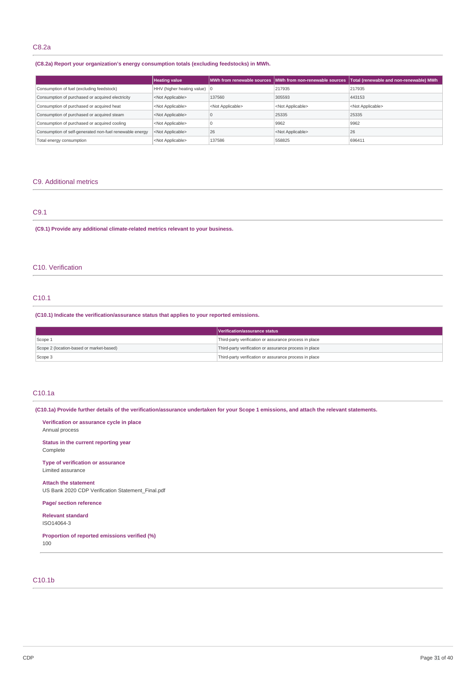## C8.2a

### **(C8.2a) Report your organization's energy consumption totals (excluding feedstocks) in MWh.**

|                                                         | <b>Heating value</b>                   |                           | MWh from renewable sources MWh from non-renewable sources | Total (renewable and non-renewable) MWh |
|---------------------------------------------------------|----------------------------------------|---------------------------|-----------------------------------------------------------|-----------------------------------------|
| Consumption of fuel (excluding feedstock)               | HHV (higher heating value) $ 0\rangle$ |                           | 217935                                                    | 217935                                  |
| Consumption of purchased or acquired electricity        | <not applicable=""></not>              | 137560                    | 305593                                                    | 443153                                  |
| Consumption of purchased or acquired heat               | <not applicable=""></not>              | <not applicable=""></not> | <not applicable=""></not>                                 | <not applicable=""></not>               |
| Consumption of purchased or acquired steam              | <not applicable=""></not>              | LC.                       | 25335                                                     | 25335                                   |
| Consumption of purchased or acquired cooling            | <not applicable=""></not>              |                           | 9962                                                      | 9962                                    |
| Consumption of self-generated non-fuel renewable energy | <not applicable=""></not>              | 26                        | <not applicable=""></not>                                 | 26                                      |
| Total energy consumption                                | <not applicable=""></not>              | 137586                    | 558825                                                    | 696411                                  |

### C9. Additional metrics

## C9.1

**(C9.1) Provide any additional climate-related metrics relevant to your business.**

### C10. Verification

### C10.1

### **(C10.1) Indicate the verification/assurance status that applies to your reported emissions.**

|                                          | Verification/assurance status                          |
|------------------------------------------|--------------------------------------------------------|
| Scope 1                                  | Third-party verification or assurance process in place |
| Scope 2 (location-based or market-based) | Third-party verification or assurance process in place |
| Scope 3                                  | Third-party verification or assurance process in place |

### C10.1a

(C10.1a) Provide further details of the verification/assurance undertaken for your Scope 1 emissions, and attach the relevant statements.

**Verification or assurance cycle in place** Annual process

**Status in the current reporting year** Complete

**Type of verification or assurance** Limited assurance

**Attach the statement** US Bank 2020 CDP Verification Statement\_Final.pdf

**Page/ section reference**

**Relevant standard** ISO14064-3

**Proportion of reported emissions verified (%)** 100

### C10.1b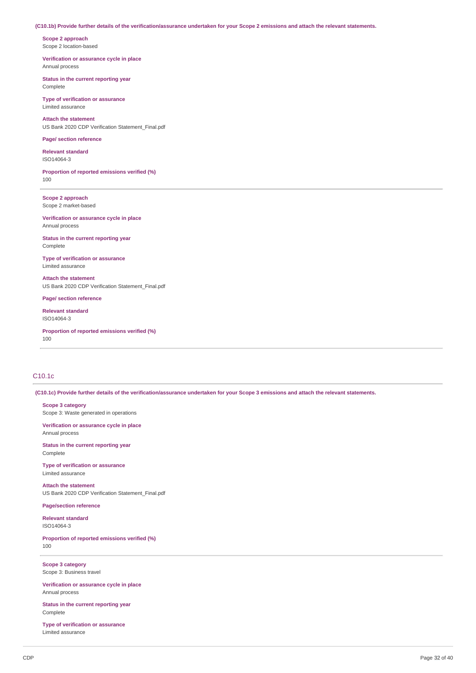#### (C10.1b) Provide further details of the verification/assurance undertaken for your Scope 2 emissions and attach the relevant statements.

**Scope 2 approach** Scope 2 location-based

**Verification or assurance cycle in place** Annual process

**Status in the current reporting year** Complete

**Type of verification or assurance** Limited assurance

**Attach the statement** US Bank 2020 CDP Verification Statement\_Final.pdf

#### **Page/ section reference**

**Relevant standard** ISO14064-3

**Proportion of reported emissions verified (%)** 100

**Scope 2 approach** Scope 2 market-based

**Verification or assurance cycle in place** Annual process

**Status in the current reporting year** Complete

**Type of verification or assurance** Limited assurance

**Attach the statement** US Bank 2020 CDP Verification Statement\_Final.pdf

**Page/ section reference**

**Relevant standard** ISO14064-3

**Proportion of reported emissions verified (%)** 100

### C10.1c

(C10.1c) Provide further details of the verification/assurance undertaken for your Scope 3 emissions and attach the relevant statements.

**Scope 3 category** Scope 3: Waste generated in operations

**Verification or assurance cycle in place** Annual process

**Status in the current reporting year** Complete

**Type of verification or assurance** Limited assurance

**Attach the statement** US Bank 2020 CDP Verification Statement\_Final.pdf

**Page/section reference**

**Relevant standard** ISO14064-3

**Proportion of reported emissions verified (%)** 100

**Scope 3 category** Scope 3: Business travel

**Verification or assurance cycle in place** Annual process

**Status in the current reporting year** Complete

**Type of verification or assurance** Limited assurance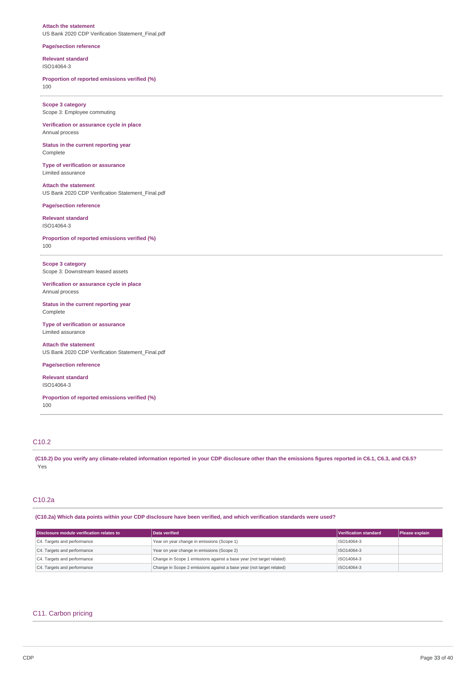#### **Attach the statement** US Bank 2020 CDP Verification Statement\_Final.pdf

#### **Page/section reference**

**Relevant standard** ISO14064-3

### **Proportion of reported emissions verified (%)** 100

**Scope 3 category** Scope 3: Employee commuting

**Verification or assurance cycle in place** Annual process

**Status in the current reporting year** Complete

**Type of verification or assurance** Limited assurance

**Attach the statement** US Bank 2020 CDP Verification Statement\_Final.pdf

**Page/section reference**

**Relevant standard** ISO14064-3

**Proportion of reported emissions verified (%)** 100

**Scope 3 category** Scope 3: Downstream leased assets

**Verification or assurance cycle in place** Annual process

**Status in the current reporting year** Complete

**Type of verification or assurance** Limited assurance

**Attach the statement** US Bank 2020 CDP Verification Statement\_Final.pdf

### **Page/section reference**

**Relevant standard** ISO14064-3

**Proportion of reported emissions verified (%)** 100

## C10.2

(C10.2) Do you verify any climate-related information reported in your CDP disclosure other than the emissions figures reported in C6.1, C6.3, and C6.5? Yes

### C10.2a

(C10.2a) Which data points within your CDP disclosure have been verified, and which verification standards were used?

| Disclosure module verification relates to | Data verified                                                        | Verification standard | Please explain |
|-------------------------------------------|----------------------------------------------------------------------|-----------------------|----------------|
| C4. Targets and performance               | Year on year change in emissions (Scope 1)                           | ISO14064-3            |                |
| C4. Targets and performance               | Year on year change in emissions (Scope 2)                           | ISO14064-3            |                |
| C4. Targets and performance               | Change in Scope 1 emissions against a base year (not target related) | ISO14064-3            |                |
| C4. Targets and performance               | Change in Scope 2 emissions against a base year (not target related) | ISO14064-3            |                |

### C11. Carbon pricing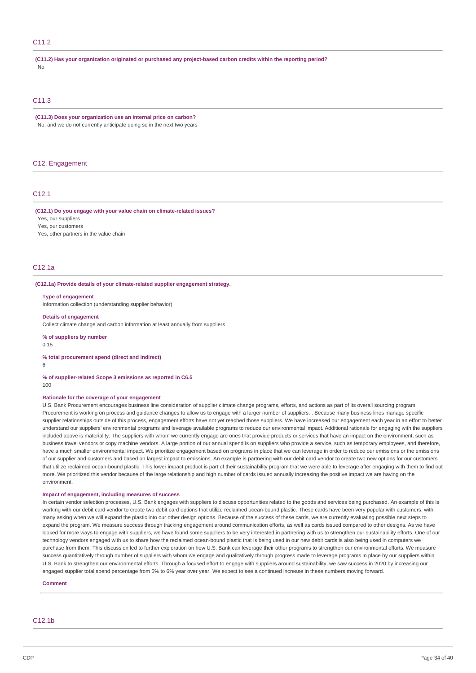### C11.2

**(C11.2) Has your organization originated or purchased any project-based carbon credits within the reporting period?** No

### C11.3

**(C11.3) Does your organization use an internal price on carbon?** No, and we do not currently anticipate doing so in the next two years

### C12. Engagement

### C<sub>12</sub>.1

#### **(C12.1) Do you engage with your value chain on climate-related issues?**

Yes, our suppliers Yes, our customers

Yes, other partners in the value chain

#### C12.1a

#### **(C12.1a) Provide details of your climate-related supplier engagement strategy.**

#### **Type of engagement**

Information collection (understanding supplier behavior)

#### **Details of engagement**

Collect climate change and carbon information at least annually from suppliers

**% of suppliers by number** 0.15

#### **% total procurement spend (direct and indirect)**

6

#### **% of supplier-related Scope 3 emissions as reported in C6.5**

100

### **Rationale for the coverage of your engagement**

U.S. Bank Procurement encourages business line consideration of supplier climate change programs, efforts, and actions as part of its overall sourcing program. Procurement is working on process and guidance changes to allow us to engage with a larger number of suppliers. . Because many business lines manage specific supplier relationships outside of this process, engagement efforts have not yet reached those suppliers. We have increased our engagement each year in an effort to better understand our suppliers' environmental programs and leverage available programs to reduce our environmental impact. Additional rationale for engaging with the suppliers included above is materiality. The suppliers with whom we currently engage are ones that provide products or services that have an impact on the environment, such as business travel vendors or copy machine vendors. A large portion of our annual spend is on suppliers who provide a service, such as temporary employees, and therefore, have a much smaller environmental impact. We prioritize engagement based on programs in place that we can leverage in order to reduce our emissions or the emissions of our supplier and customers and based on largest impact to emissions. An example is partnering with our debit card vendor to create two new options for our customers that utilize reclaimed ocean-bound plastic. This lower impact product is part of their sustainability program that we were able to leverage after engaging with them to find out more. We prioritized this vendor because of the large relationship and high number of cards issued annually increasing the positive impact we are having on the environment.

#### **Impact of engagement, including measures of success**

In certain vendor selection processes, U.S. Bank engages with suppliers to discuss opportunities related to the goods and services being purchased. An example of this is working with our debit card vendor to create two debit card options that utilize reclaimed ocean-bound plastic. These cards have been very popular with customers, with many asking when we will expand the plastic into our other design options. Because of the success of these cards, we are currently evaluating possible next steps to expand the program. We measure success through tracking engagement around communication efforts, as well as cards issued compared to other designs. As we have looked for more ways to engage with suppliers, we have found some suppliers to be very interested in partnering with us to strengthen our sustainability efforts. One of our technology vendors engaged with us to share how the reclaimed ocean-bound plastic that is being used in our new debit cards is also being used in computers we purchase from them. This discussion led to further exploration on how U.S. Bank can leverage their other programs to strengthen our environmental efforts. We measure success quantitatively through number of suppliers with whom we engage and qualitatively through progress made to leverage programs in place by our suppliers within U.S. Bank to strengthen our environmental efforts. Through a focused effort to engage with suppliers around sustainability, we saw success in 2020 by increasing our engaged supplier total spend percentage from 5% to 6% year over year. We expect to see a continued increase in these numbers moving forward.

**Comment**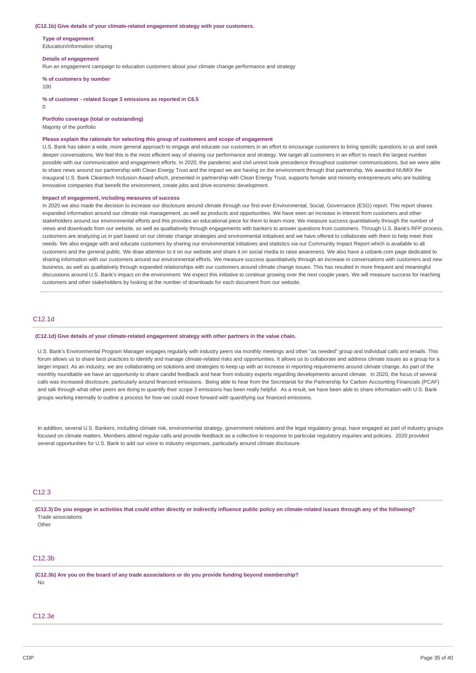#### **(C12.1b) Give details of your climate-related engagement strategy with your customers.**

**Type of engagement**

Education/information sharing

#### **Details of engagement**

Run an engagement campaign to education customers about your climate change performance and strategy

**% of customers by number**

#### 100

**% of customer - related Scope 3 emissions as reported in C6.5**

 $\Omega$ 

**Portfolio coverage (total or outstanding)**

Majority of the portfolio

#### **Please explain the rationale for selecting this group of customers and scope of engagement**

U.S. Bank has taken a wide, more general approach to engage and educate our customers in an effort to encourage customers to bring specific questions to us and seek deeper conversations. We feel this is the most efficient way of sharing our performance and strategy. We target all customers in an effort to reach the largest number possible with our communication and engagement efforts. In 2020, the pandemic and civil unrest took precedence throughout customer communications, but we were able to share news around our partnership with Clean Energy Trust and the impact we are having on the environment through that partnership. We awarded NUMIX the inaugural U.S. Bank Cleantech Inclusion Award which, presented in partnership with Clean Energy Trust, supports female and minority entrepreneurs who are building innovative companies that benefit the environment, create jobs and drive economic development.

#### **Impact of engagement, including measures of success**

In 2020 we also made the decision to increase our disclosure around climate through our first ever Environmental, Social, Governance (ESG) report. This report shares expanded information around our climate risk management, as well as products and opportunities. We have seen an increase in interest from customers and other stakeholders around our environmental efforts and this provides an educational piece for them to learn more. We measure success quantitatively through the number of views and downloads from our website, as well as qualitatively through engagements with bankers to answer questions from customers. Through U.S. Bank's RFP process, customers are analyzing us in part based on our climate change strategies and environmental initiatives and we have offered to collaborate with them to help meet their needs. We also engage with and educate customers by sharing our environmental initiatives and statistics via our Community Impact Report which is available to all customers and the general public. We draw attention to it on our website and share it on social media to raise awareness. We also have a usbank.com page dedicated to sharing information with our customers around our environmental efforts. We measure success quantitatively through an increase in conversations with customers and new business, as well as qualitatively through expanded relationships with our customers around climate change issues. This has resulted in more frequent and meaningful discussions around U.S. Bank's impact on the environment. We expect this initiative to continue growing over the next couple years. We will measure success for reaching customers and other stakeholders by looking at the number of downloads for each document from our website.

### C12.1d

#### **(C12.1d) Give details of your climate-related engagement strategy with other partners in the value chain.**

U.S. Bank's Environmental Program Manager engages regularly with industry peers via monthly meetings and other "as needed" group and individual calls and emails. This forum allows us to share best practices to identify and manage climate-related risks and opportunities. It allows us to collaborate and address climate issues as a group for a larger impact. As an industry, we are collaborating on solutions and strategies to keep up with an increase in reporting requirements around climate change. As part of the monthly roundtable we have an opportunity to share candid feedback and hear from industry experts regarding developments around climate. In 2020, the focus of several calls was increased disclosure, particularly around financed emissions. Being able to hear from the Secretariat for the Partnership for Carbon Accounting Financials (PCAF) and talk through what other peers are doing to quantify their scope 3 emissions has been really helpful. As a result, we have been able to share information with U.S. Bank groups working internally to outline a process for how we could move forward with quantifying our financed emissions.

In addition, several U.S. Bankers, including climate risk, environmental strategy, government relations and the legal regulatory group, have engaged as part of industry groups focused on climate matters. Members attend regular calls and provide feedback as a collective in response to particular regulatory inquiries and policies. 2020 provided several opportunities for U.S. Bank to add our voice to industry responses, particularly around climate disclosure

### C12.3

(C12.3) Do you engage in activities that could either directly or indirectly influence public policy on climate-related issues through any of the following? Trade associations

 $Oth<sub>Pl</sub>$ 

### C<sub>12.3b</sub>

**(C12.3b) Are you on the board of any trade associations or do you provide funding beyond membership?** No

### C12.3e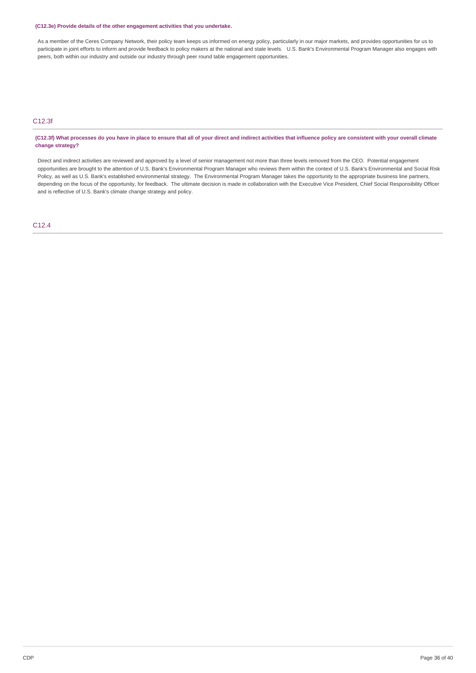### **(C12.3e) Provide details of the other engagement activities that you undertake.**

As a member of the Ceres Company Network, their policy team keeps us informed on energy policy, particularly in our major markets, and provides opportunities for us to participate in joint efforts to inform and provide feedback to policy makers at the national and state levels. U.S. Bank's Environmental Program Manager also engages with peers, both within our industry and outside our industry through peer round table engagement opportunities.

## C12.3f

(C12.3f) What processes do you have in place to ensure that all of your direct and indirect activities that influence policy are consistent with your overall climate **change strategy?**

Direct and indirect activities are reviewed and approved by a level of senior management not more than three levels removed from the CEO. Potential engagement opportunities are brought to the attention of U.S. Bank's Environmental Program Manager who reviews them within the context of U.S. Bank's Environmental and Social Risk Policy, as well as U.S. Bank's established environmental strategy. The Environmental Program Manager takes the opportunity to the appropriate business line partners, depending on the focus of the opportunity, for feedback. The ultimate decision is made in collaboration with the Executive Vice President, Chief Social Responsibility Officer and is reflective of U.S. Bank's climate change strategy and policy.

C12.4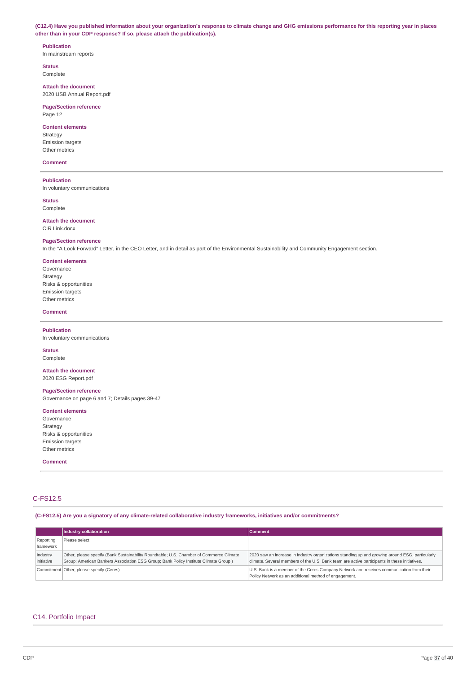(C12.4) Have you published information about your organization's response to climate change and GHG emissions performance for this reporting year in places **other than in your CDP response? If so, please attach the publication(s).**

## **Publication**

In mainstream reports

**Status** Complete

**Attach the document** 2020 USB Annual Report.pdf

## **Page/Section reference**

Page 12

## **Content elements**

Strategy Emission targets Other metrics

#### **Comment**

**Publication** In voluntary communications

**Status** Complete

### **Attach the document**

CIR Link.docx

### **Page/Section reference**

In the "A Look Forward" Letter, in the CEO Letter, and in detail as part of the Environmental Sustainability and Community Engagement section.

#### **Content elements**

Governance Strategy Risks & opportunities Emission targets Other metrics

### **Comment**

### **Publication**

In voluntary communications

#### **Status** Complete

**Attach the document** 2020 ESG Report.pdf

### **Page/Section reference** Governance on page 6 and 7; Details pages 39-47

**Content elements**

Governance Strategy Risks & opportunities Emission targets Other metrics

**Comment**

## C-FS12.5

### **(C-FS12.5) Are you a signatory of any climate-related collaborative industry frameworks, initiatives and/or commitments?**

|                        | Industry collaboration                                                                                                                                                         | <b>Comment</b>                                                                                                                                                                                  |
|------------------------|--------------------------------------------------------------------------------------------------------------------------------------------------------------------------------|-------------------------------------------------------------------------------------------------------------------------------------------------------------------------------------------------|
| Reporting<br>framework | Please select                                                                                                                                                                  |                                                                                                                                                                                                 |
| Industry<br>initiative | Other, please specify (Bank Sustainability Roundtable; U.S. Chamber of Commerce Climate<br>Group; American Bankers Association ESG Group; Bank Policy Institute Climate Group) | 2020 saw an increase in industry organizations standing up and growing around ESG, particularly<br>climate. Several members of the U.S. Bank team are active participants in these initiatives. |
|                        | Commitment Other, please specify (Ceres)                                                                                                                                       | U.S. Bank is a member of the Ceres Company Network and receives communication from their<br>Policy Network as an additional method of engagement.                                               |

### C14. Portfolio Impact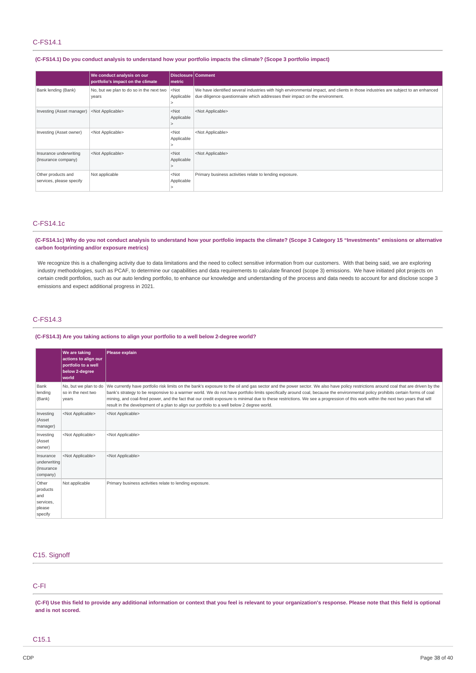### C-FS14.1

### (C-FS14.1) Do you conduct analysis to understand how your portfolio impacts the climate? (Scope 3 portfolio impact)

|                                                | We conduct analysis on our<br>portfolio's impact on the climate | Disclosure Comment<br>metric |                                                                                                                                                                                                                  |
|------------------------------------------------|-----------------------------------------------------------------|------------------------------|------------------------------------------------------------------------------------------------------------------------------------------------------------------------------------------------------------------|
| Bank lending (Bank)                            | No, but we plan to do so in the next two<br>years               | $<$ Not<br>Applicable        | We have identified several industries with high environmental impact, and clients in those industries are subject to an enhanced<br>due diligence questionnaire which addresses their impact on the environment. |
| Investing (Asset manager)                      | <not applicable=""></not>                                       | $<$ Not<br>Applicable        | <not applicable=""></not>                                                                                                                                                                                        |
| Investing (Asset owner)                        | <not applicable=""></not>                                       | $<$ Not<br>Applicable        | <not applicable=""></not>                                                                                                                                                                                        |
| Insurance underwriting<br>(Insurance company)  | <not applicable=""></not>                                       | $<$ Not<br>Applicable        | <not applicable=""></not>                                                                                                                                                                                        |
| Other products and<br>services, please specify | Not applicable                                                  | $<$ Not<br>Applicable        | Primary business activities relate to lending exposure.                                                                                                                                                          |

### C-FS14.1c

(C-FS14.1c) Why do you not conduct analysis to understand how your portfolio impacts the climate? (Scope 3 Category 15 "Investments" emissions or alternative **carbon footprinting and/or exposure metrics)**

We recognize this is a challenging activity due to data limitations and the need to collect sensitive information from our customers. With that being said, we are exploring industry methodologies, such as PCAF, to determine our capabilities and data requirements to calculate financed (scope 3) emissions. We have initiated pilot projects on certain credit portfolios, such as our auto lending portfolio, to enhance our knowledge and understanding of the process and data needs to account for and disclose scope 3 emissions and expect additional progress in 2021.

## C-FS14.3

### **(C-FS14.3) Are you taking actions to align your portfolio to a well below 2-degree world?**

|                                                            | We are taking<br>actions to align our<br>portfolio to a well<br>below 2-degree<br>world | Please explain                                                                                                                                                                                                                                                                                                                                                                                                                                                                                                                                                                                                                                                              |
|------------------------------------------------------------|-----------------------------------------------------------------------------------------|-----------------------------------------------------------------------------------------------------------------------------------------------------------------------------------------------------------------------------------------------------------------------------------------------------------------------------------------------------------------------------------------------------------------------------------------------------------------------------------------------------------------------------------------------------------------------------------------------------------------------------------------------------------------------------|
| Bank<br>lending<br>(Bank)                                  | so in the next two<br>years                                                             | No, but we plan to do We currently have portfolio risk limits on the bank's exposure to the oil and gas sector and the power sector. We also have policy restrictions around coal that are driven by the<br>bank's strategy to be responsive to a warmer world. We do not have portfolio limits specifically around coal, because the environmental policy prohibits certain forms of coal<br>mining, and coal-fired power, and the fact that our credit exposure is minimal due to these restrictions. We see a progression of this work within the next two years that will<br>result in the development of a plan to align our portfolio to a well below 2 degree world. |
| Investing<br>(Asset<br>manager)                            | <not applicable=""></not>                                                               | <not applicable=""></not>                                                                                                                                                                                                                                                                                                                                                                                                                                                                                                                                                                                                                                                   |
| Investing<br>(Asset<br>owner)                              | <not applicable=""></not>                                                               | <not applicable=""></not>                                                                                                                                                                                                                                                                                                                                                                                                                                                                                                                                                                                                                                                   |
| Insurance<br>underwriting<br>(Insurance<br>company)        | <not applicable=""></not>                                                               | <not applicable=""></not>                                                                                                                                                                                                                                                                                                                                                                                                                                                                                                                                                                                                                                                   |
| Other<br>products<br>and<br>services,<br>please<br>specify | Not applicable                                                                          | Primary business activities relate to lending exposure.                                                                                                                                                                                                                                                                                                                                                                                                                                                                                                                                                                                                                     |

## C15. Signoff

## C-FI

(C-FI) Use this field to provide any additional information or context that you feel is relevant to your organization's response. Please note that this field is optional **and is not scored.**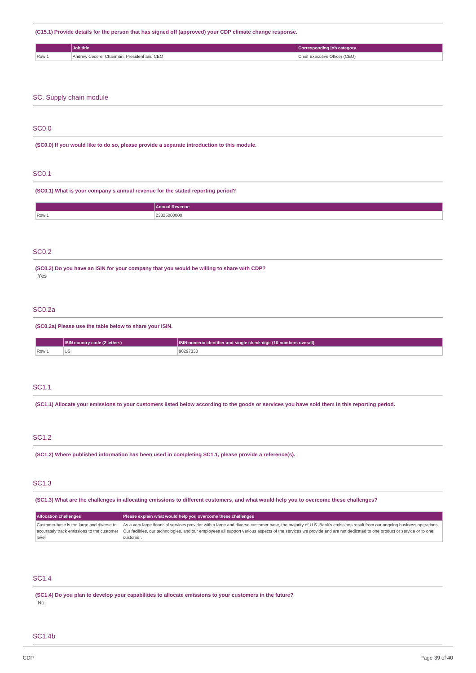**(C15.1) Provide details for the person that has signed off (approved) your CDP climate change response.**

|       | Job title                                         | Corresponding job category         |
|-------|---------------------------------------------------|------------------------------------|
| Row 1 | ' Andrew Cecere, Chairman, President and CEO<br>. | Chief Executive Officer (CEO)<br>. |

### SC. Supply chain module

### SC0.0

**(SC0.0) If you would like to do so, please provide a separate introduction to this module.**

## SC0.1

**(SC0.1) What is your company's annual revenue for the stated reporting period?**

|                       | <b>Annual Revenue</b> |
|-----------------------|-----------------------|
| $\sqrt{\text{Row 1}}$ | ∩ה⊐רי<br>.            |
|                       |                       |

## SC0.2

**(SC0.2) Do you have an ISIN for your company that you would be willing to share with CDP?** Yes

## SC0.2a

**(SC0.2a) Please use the table below to share your ISIN.**

|     | <b>SIN country code (2 letters)</b> | ISIN numeric identifier and single check digit (10 numbers overall) \ |  |
|-----|-------------------------------------|-----------------------------------------------------------------------|--|
| Row | $\sim$<br>บร                        | 90297330                                                              |  |

### SC1.1

(SC1.1) Allocate your emissions to your customers listed below according to the goods or services you have sold them in this reporting period.

### SC1.2

**(SC1.2) Where published information has been used in completing SC1.1, please provide a reference(s).**

## SC1.3

(SC1.3) What are the challenges in allocating emissions to different customers, and what would help you to overcome these challenges?

| <b>Allocation challenges</b>              | Please explain what would help you overcome these challenges                                                                                                                                                     |  |  |
|-------------------------------------------|------------------------------------------------------------------------------------------------------------------------------------------------------------------------------------------------------------------|--|--|
| Customer base is too large and diverse to | As a very large financial services provider with a large and diverse customer base, the majority of U.S. Bank's emissions result from our ongoing business operations.                                           |  |  |
|                                           | accurately track emissions to the customer  Our facilities, our technologies, and our employees all support various aspects of the services we provide and are not dedicated to one product or service or to one |  |  |
| level                                     | customer.                                                                                                                                                                                                        |  |  |

### SC1.4

**(SC1.4) Do you plan to develop your capabilities to allocate emissions to your customers in the future?** No

### SC1.4b